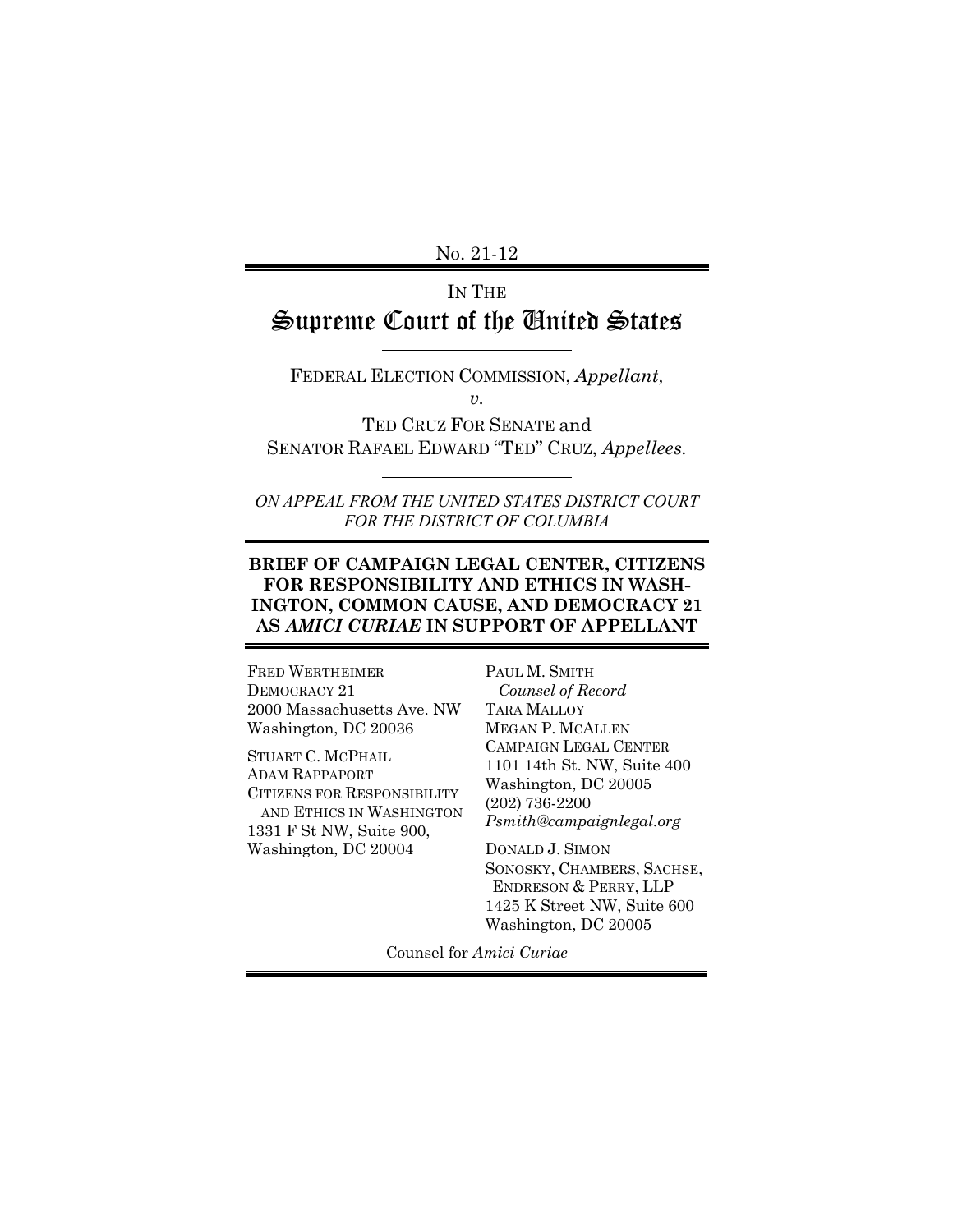No. 21-12

# IN THE Supreme Court of the United States

FEDERAL ELECTION COMMISSION, *Appellant, v.*

TED CRUZ FOR SENATE and SENATOR RAFAEL EDWARD "TED" CRUZ, *Appellees.*

*ON APPEAL FROM THE UNITED STATES DISTRICT COURT FOR THE DISTRICT OF COLUMBIA*

#### **BRIEF OF CAMPAIGN LEGAL CENTER, CITIZENS FOR RESPONSIBILITY AND ETHICS IN WASH-INGTON, COMMON CAUSE, AND DEMOCRACY 21 AS** *AMICI CURIAE* **IN SUPPORT OF APPELLANT**

FRED WERTHEIMER DEMOCRACY 21 2000 Massachusetts Ave. NW Washington, DC 20036

STUART C. MCPHAIL ADAM RAPPAPORT CITIZENS FOR RESPONSIBILITY AND ETHICS IN WASHINGTON 1331 F St NW, Suite 900, Washington, DC 20004

PAUL M. SMITH  *Counsel of Record* TARA MALLOY MEGAN P. MCALLEN CAMPAIGN LEGAL CENTER 1101 14th St. NW, Suite 400 Washington, DC 20005 (202) 736-2200 *Psmith@campaignlegal.org*

DONALD J. SIMON SONOSKY, CHAMBERS, SACHSE, ENDRESON & PERRY, LLP 1425 K Street NW, Suite 600 Washington, DC 20005

Counsel for *Amici Curiae*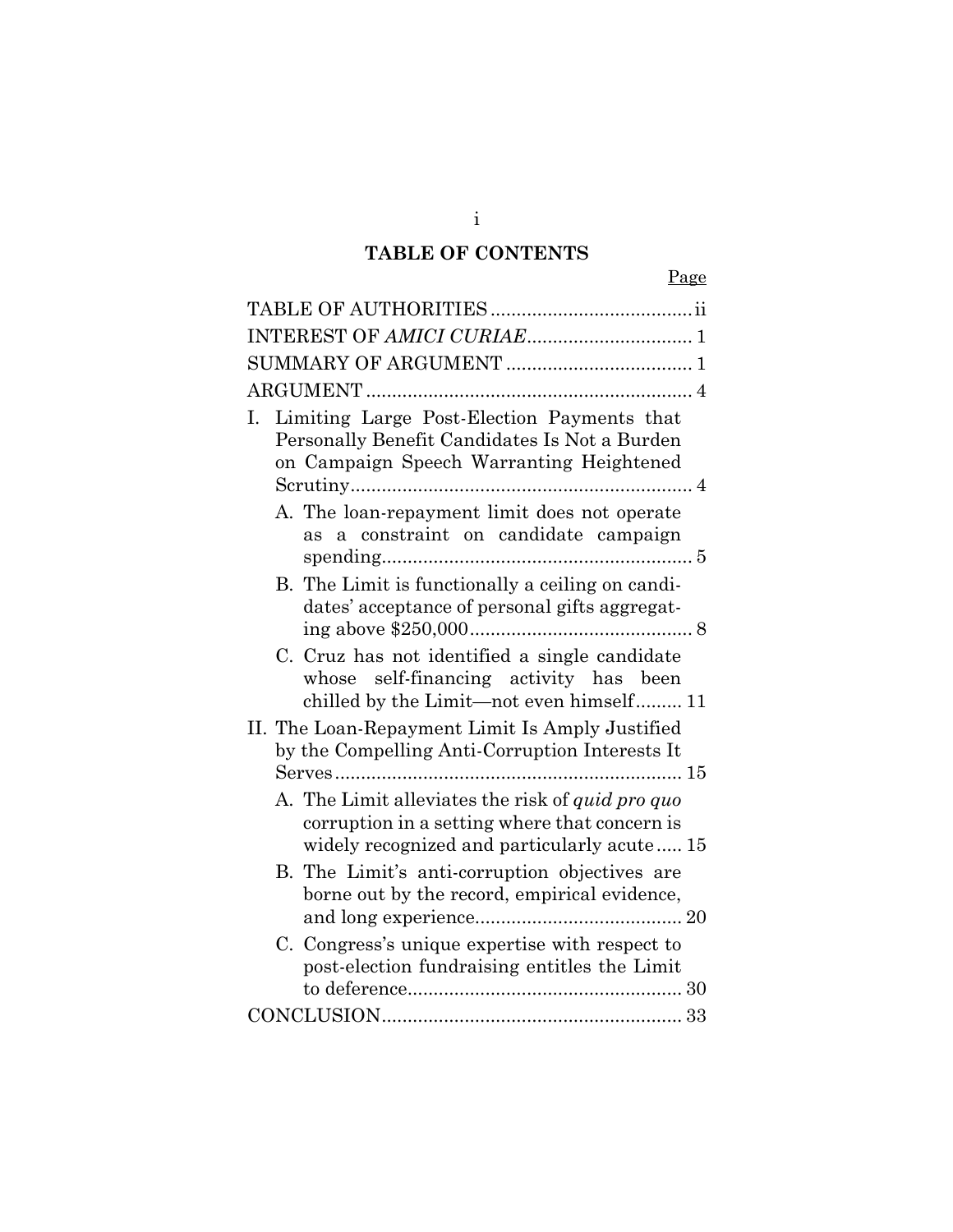# **TABLE OF CONTENTS**

| Ι. | Limiting Large Post-Election Payments that<br>Personally Benefit Candidates Is Not a Burden<br>on Campaign Speech Warranting Heightened<br>A. The loan-repayment limit does not operate |
|----|-----------------------------------------------------------------------------------------------------------------------------------------------------------------------------------------|
|    | as a constraint on candidate campaign                                                                                                                                                   |
|    | B. The Limit is functionally a ceiling on candi-<br>dates' acceptance of personal gifts aggregat-                                                                                       |
|    | C. Cruz has not identified a single candidate<br>whose self-financing activity has been<br>chilled by the Limit-not even himself 11                                                     |
|    | II. The Loan-Repayment Limit Is Amply Justified<br>by the Compelling Anti-Corruption Interests It                                                                                       |
|    | A. The Limit alleviates the risk of <i>quid pro quo</i><br>corruption in a setting where that concern is<br>widely recognized and particularly acute 15                                 |
|    | B. The Limit's anti-corruption objectives are<br>borne out by the record, empirical evidence,                                                                                           |
|    | C. Congress's unique expertise with respect to<br>post-election fundraising entitles the Limit                                                                                          |
|    |                                                                                                                                                                                         |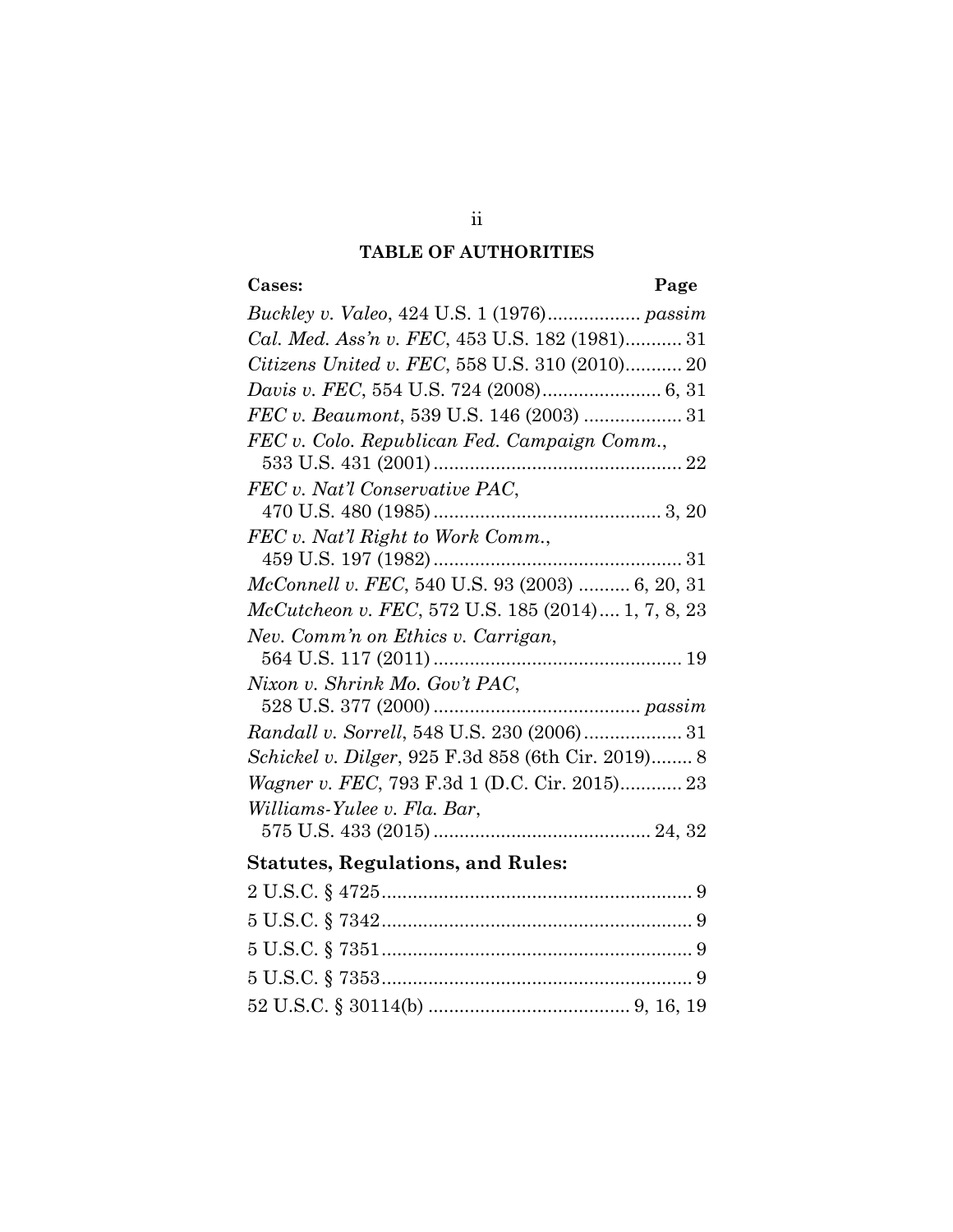# **TABLE OF AUTHORITIES**

# **Cases: Page**

| Buckley v. Valeo, 424 U.S. 1 (1976) passim                             |
|------------------------------------------------------------------------|
| Cal. Med. Ass'n v. FEC, 453 U.S. 182 (1981) 31                         |
| Citizens United v. FEC, 558 U.S. 310 (2010) 20                         |
|                                                                        |
|                                                                        |
| FEC v. Colo. Republican Fed. Campaign Comm.,                           |
|                                                                        |
| FEC v. Nat'l Conservative PAC,                                         |
|                                                                        |
| FEC v. Nat'l Right to Work Comm.,                                      |
|                                                                        |
| McConnell v. FEC, 540 U.S. 93 (2003)  6, 20, 31                        |
| McCutcheon v. FEC, 572 U.S. 185 (2014) 1, 7, 8, 23                     |
| Nev. Comm'n on Ethics v. Carrigan,                                     |
|                                                                        |
| Nixon v. Shrink Mo. Gov't PAC,                                         |
|                                                                        |
| Randall v. Sorrell, 548 U.S. 230 (2006) 31                             |
| Schickel v. Dilger, 925 F.3d 858 (6th Cir. 2019) 8                     |
| Wagner v. FEC, 793 F.3d 1 (D.C. Cir. 2015) 23                          |
| Williams-Yulee v. Fla. Bar,                                            |
|                                                                        |
| <b>Statutes, Regulations, and Rules:</b>                               |
|                                                                        |
| $\blacktriangleright$ TT $\cap$ $\cap$ $\circ$ $\sqcap$ $\cap$ $\circ$ |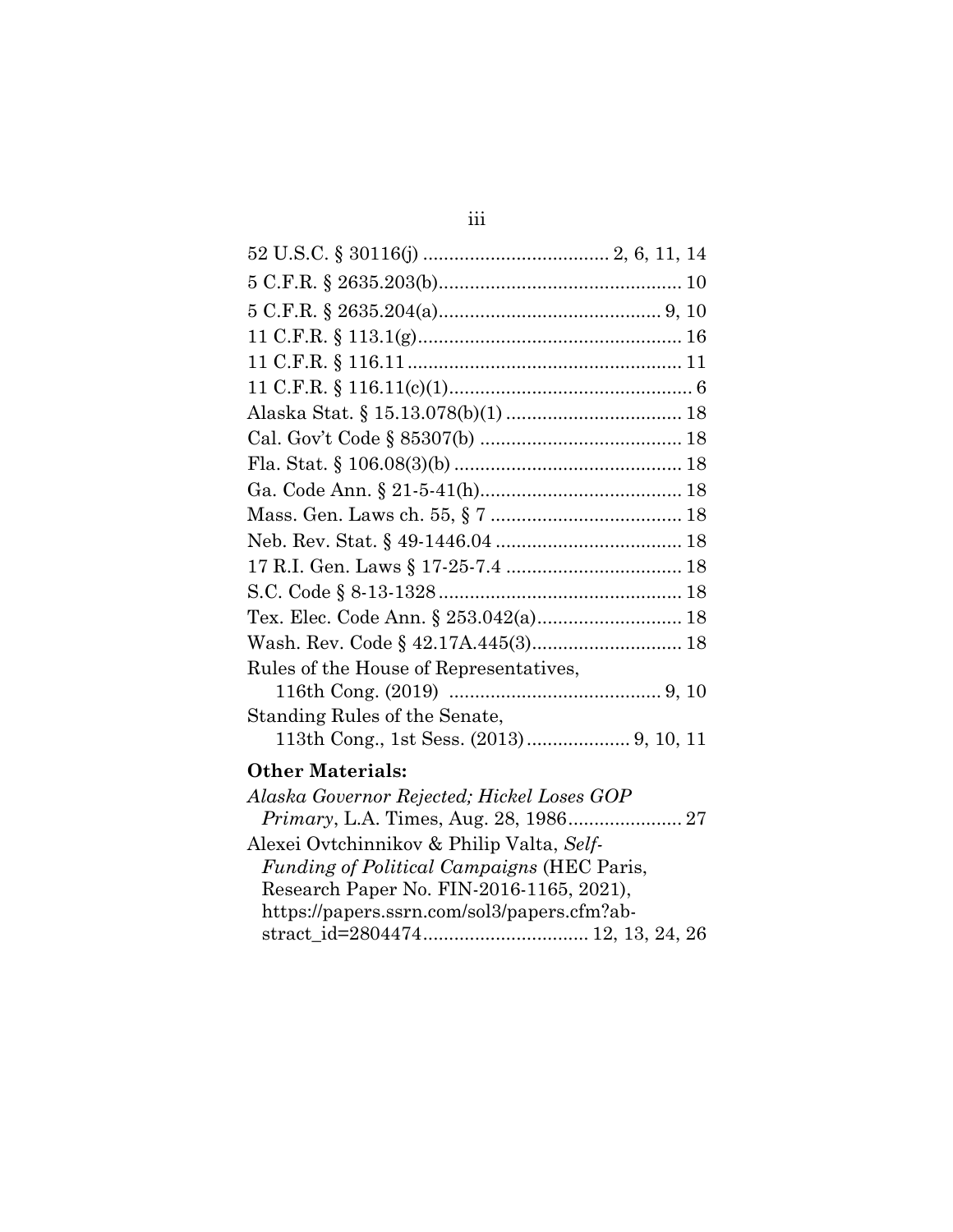| Rules of the House of Representatives, |  |
|----------------------------------------|--|
|                                        |  |
| Standing Rules of the Senate,          |  |
| <b>Other Materials:</b>                |  |
|                                        |  |

| Alaska Governor Rejected; Hickel Loses GOP        |  |
|---------------------------------------------------|--|
|                                                   |  |
| Alexei Ovtchinnikov & Philip Valta, Self-         |  |
| <i>Funding of Political Campaigns (HEC Paris,</i> |  |
| Research Paper No. FIN-2016-1165, 2021),          |  |
| https://papers.ssrn.com/sol3/papers.cfm?ab-       |  |
|                                                   |  |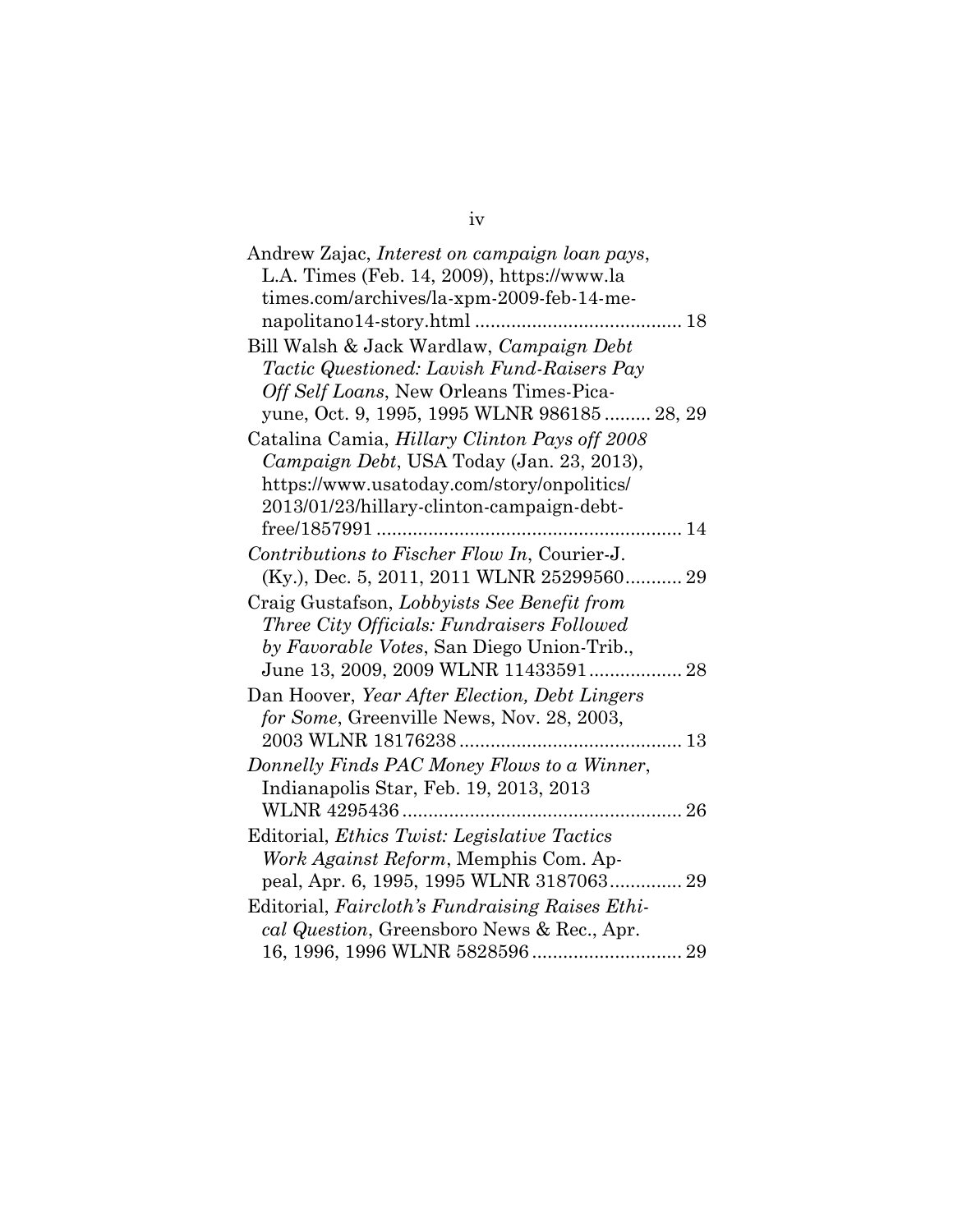| Andrew Zajac, Interest on campaign loan pays,       |
|-----------------------------------------------------|
| L.A. Times (Feb. 14, 2009), https://www.la          |
| times.com/archives/la-xpm-2009-feb-14-me-           |
|                                                     |
| Bill Walsh & Jack Wardlaw, Campaign Debt            |
| <i>Tactic Questioned: Lavish Fund-Raisers Pay</i>   |
| Off Self Loans, New Orleans Times-Pica-             |
| yune, Oct. 9, 1995, 1995 WLNR 986185  28, 29        |
| Catalina Camia, Hillary Clinton Pays off 2008       |
| Campaign Debt, USA Today (Jan. 23, 2013),           |
| https://www.usatoday.com/story/onpolitics/          |
| 2013/01/23/hillary-clinton-campaign-debt-           |
|                                                     |
| Contributions to Fischer Flow In, Courier-J.        |
| (Ky.), Dec. 5, 2011, 2011 WLNR 25299560 29          |
| Craig Gustafson, Lobbyists See Benefit from         |
| Three City Officials: Fundraisers Followed          |
| by Favorable Votes, San Diego Union-Trib.,          |
| June 13, 2009, 2009 WLNR 11433591 28                |
| Dan Hoover, Year After Election, Debt Lingers       |
| for Some, Greenville News, Nov. 28, 2003,           |
|                                                     |
| Donnelly Finds PAC Money Flows to a Winner,         |
| Indianapolis Star, Feb. 19, 2013, 2013              |
|                                                     |
| Editorial, <i>Ethics Twist: Legislative Tactics</i> |
| Work Against Reform, Memphis Com. Ap-               |
| peal, Apr. 6, 1995, 1995 WLNR 3187063 29            |
| Editorial, Faircloth's Fundraising Raises Ethi-     |
|                                                     |
| cal Question, Greensboro News & Rec., Apr.          |
|                                                     |

iv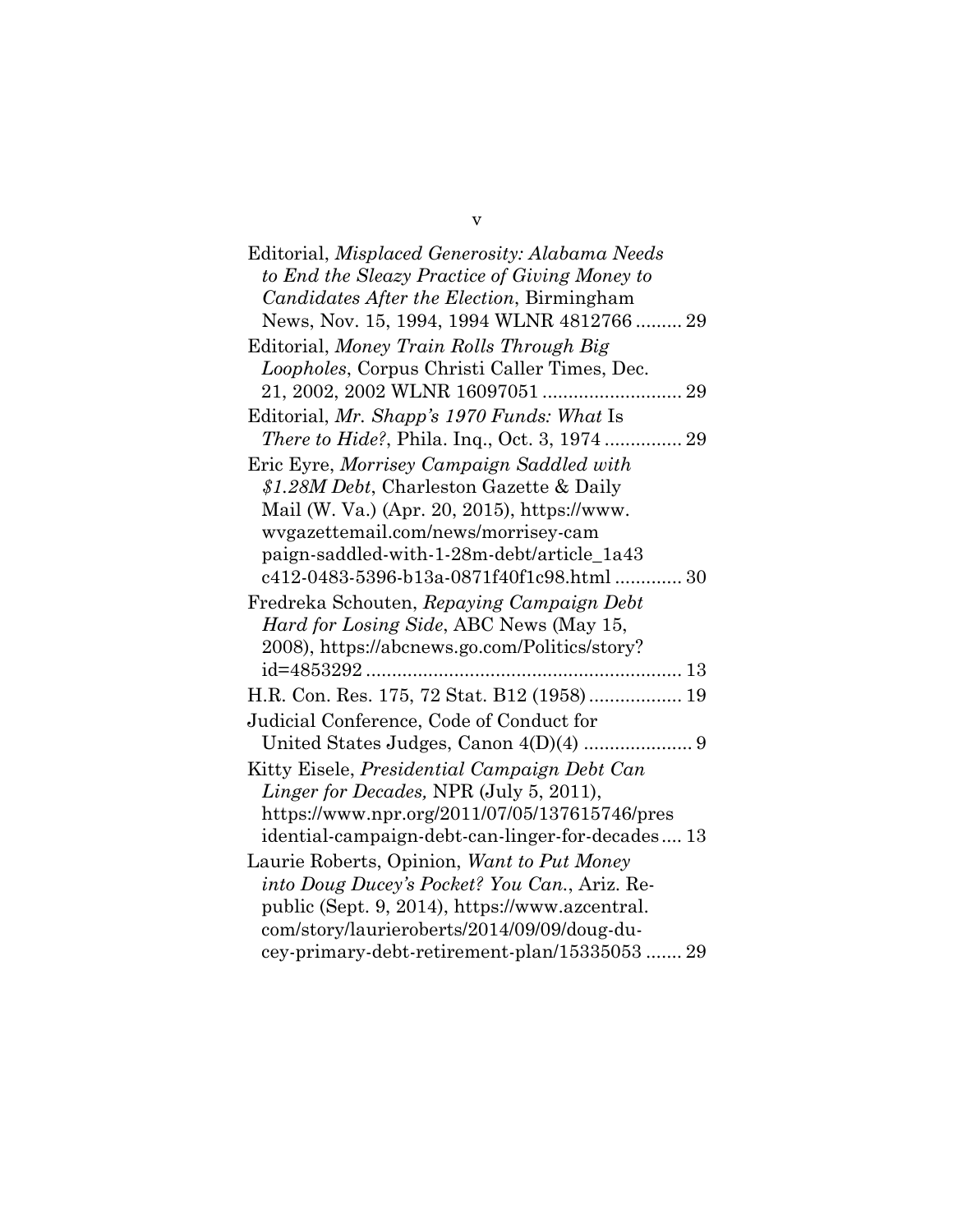| Editorial, Misplaced Generosity: Alabama Needs   |
|--------------------------------------------------|
| to End the Sleazy Practice of Giving Money to    |
| Candidates After the Election, Birmingham        |
| News, Nov. 15, 1994, 1994 WLNR 4812766  29       |
| Editorial, Money Train Rolls Through Big         |
| Loopholes, Corpus Christi Caller Times, Dec.     |
|                                                  |
| Editorial, Mr. Shapp's 1970 Funds: What Is       |
|                                                  |
| Eric Eyre, Morrisey Campaign Saddled with        |
| \$1.28M Debt, Charleston Gazette & Daily         |
| Mail (W. Va.) (Apr. 20, 2015), https://www.      |
| wygazettemail.com/news/morrisey-cam              |
| paign-saddled-with-1-28m-debt/article_1a43       |
| c412-0483-5396-b13a-0871f40f1c98.html  30        |
| Fredreka Schouten, Repaying Campaign Debt        |
| Hard for Losing Side, ABC News (May 15,          |
| 2008), https://abcnews.go.com/Politics/story?    |
|                                                  |
| H.R. Con. Res. 175, 72 Stat. B12 (1958) 19       |
| Judicial Conference, Code of Conduct for         |
|                                                  |
| Kitty Eisele, Presidential Campaign Debt Can     |
| Linger for Decades, NPR (July 5, 2011),          |
| https://www.npr.org/2011/07/05/137615746/pres    |
| idential-campaign-debt-can-linger-for-decades 13 |
| Laurie Roberts, Opinion, Want to Put Money       |
| into Doug Ducey's Pocket? You Can., Ariz. Re-    |
| public (Sept. 9, 2014), https://www.azcentral.   |
| com/story/laurieroberts/2014/09/09/doug-du-      |
| cey-primary-debt-retirement-plan/1533505329      |

v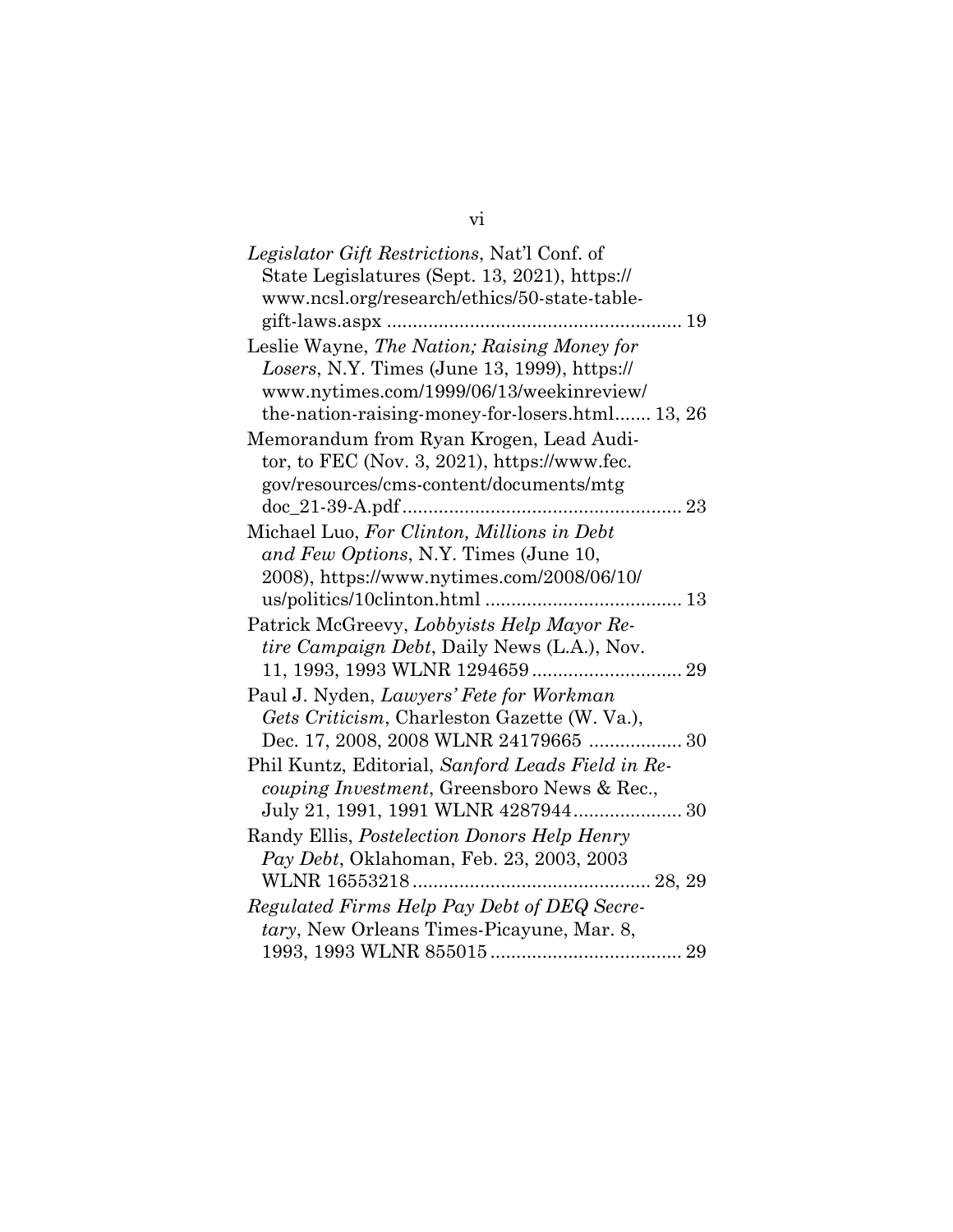vi

| Legislator Gift Restrictions, Nat'l Conf. of      |
|---------------------------------------------------|
| State Legislatures (Sept. 13, 2021), https://     |
| www.ncsl.org/research/ethics/50-state-table-      |
|                                                   |
| Leslie Wayne, The Nation; Raising Money for       |
| Losers, N.Y. Times (June 13, 1999), https://      |
| www.nytimes.com/1999/06/13/weekinreview/          |
| the-nation-raising-money-for-losers.html 13, 26   |
| Memorandum from Ryan Krogen, Lead Audi-           |
| tor, to FEC (Nov. 3, 2021), https://www.fec.      |
| gov/resources/cms-content/documents/mtg           |
|                                                   |
| Michael Luo, For Clinton, Millions in Debt        |
| and Few Options, N.Y. Times (June 10,             |
| 2008), https://www.nytimes.com/2008/06/10/        |
|                                                   |
| Patrick McGreevy, Lobbyists Help Mayor Re-        |
| tire Campaign Debt, Daily News (L.A.), Nov.       |
|                                                   |
| Paul J. Nyden, Lawyers' Fete for Workman          |
| Gets Criticism, Charleston Gazette (W. Va.),      |
|                                                   |
| Phil Kuntz, Editorial, Sanford Leads Field in Re- |
| couping Investment, Greensboro News & Rec.,       |
|                                                   |
| Randy Ellis, Postelection Donors Help Henry       |
| Pay Debt, Oklahoman, Feb. 23, 2003, 2003          |
|                                                   |
| Regulated Firms Help Pay Debt of DEQ Secre-       |
| tary, New Orleans Times-Picayune, Mar. 8,         |
|                                                   |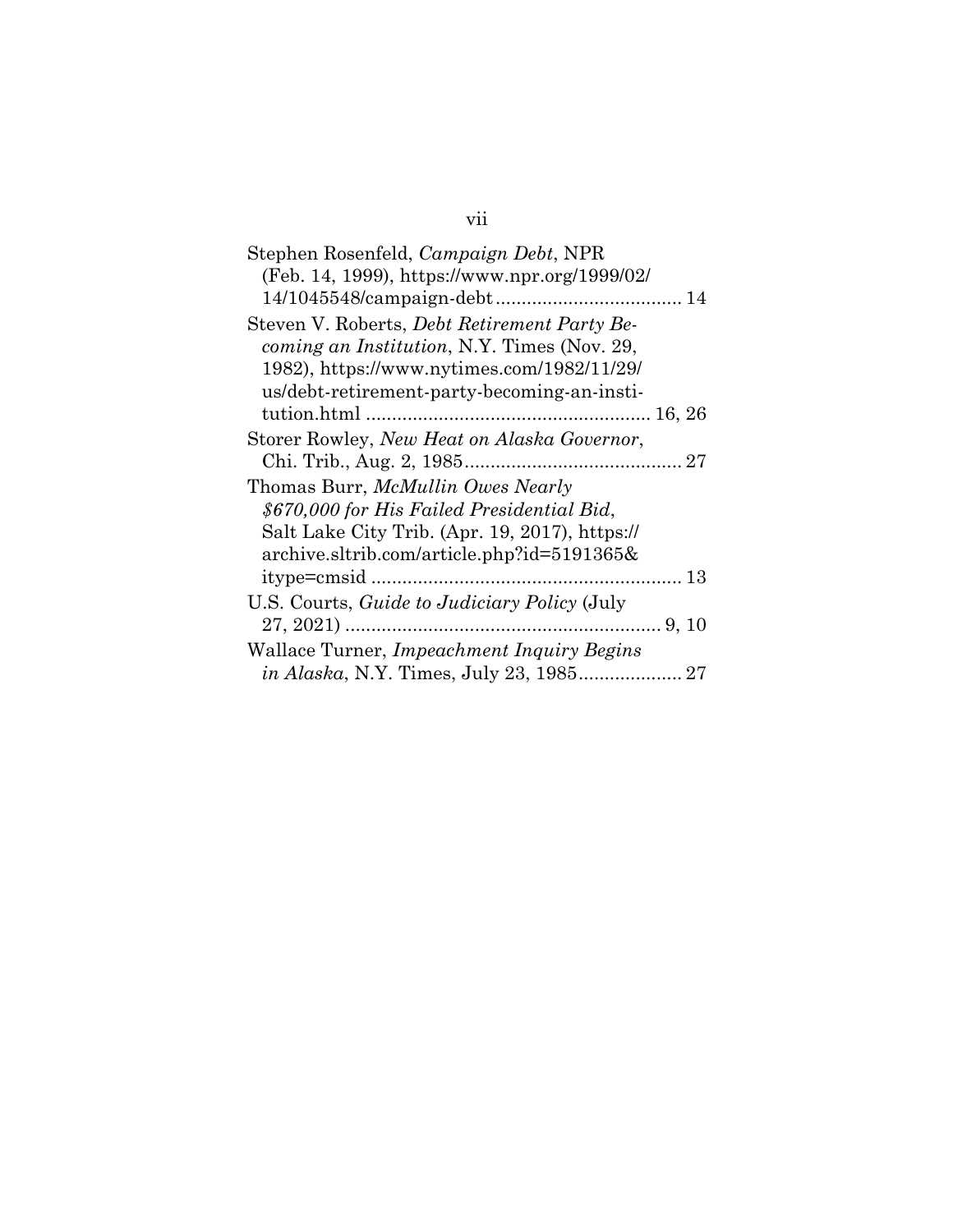# vii

| Stephen Rosenfeld, Campaign Debt, NPR               |
|-----------------------------------------------------|
| (Feb. 14, 1999), https://www.npr.org/1999/02/       |
|                                                     |
| Steven V. Roberts, Debt Retirement Party Be-        |
| <i>coming an Institution, N.Y. Times (Nov. 29,</i>  |
| 1982), https://www.nytimes.com/1982/11/29/          |
| us/debt-retirement-party-becoming-an-insti-         |
|                                                     |
| Storer Rowley, New Heat on Alaska Governor,         |
|                                                     |
| Thomas Burr, McMullin Owes Nearly                   |
| \$670,000 for His Failed Presidential Bid,          |
| Salt Lake City Trib. (Apr. 19, 2017), https://      |
| archive.sltrib.com/article.php?id=5191365&          |
|                                                     |
| U.S. Courts, <i>Guide to Judiciary Policy</i> (July |
|                                                     |
| Wallace Turner, Impeachment Inquiry Begins          |
|                                                     |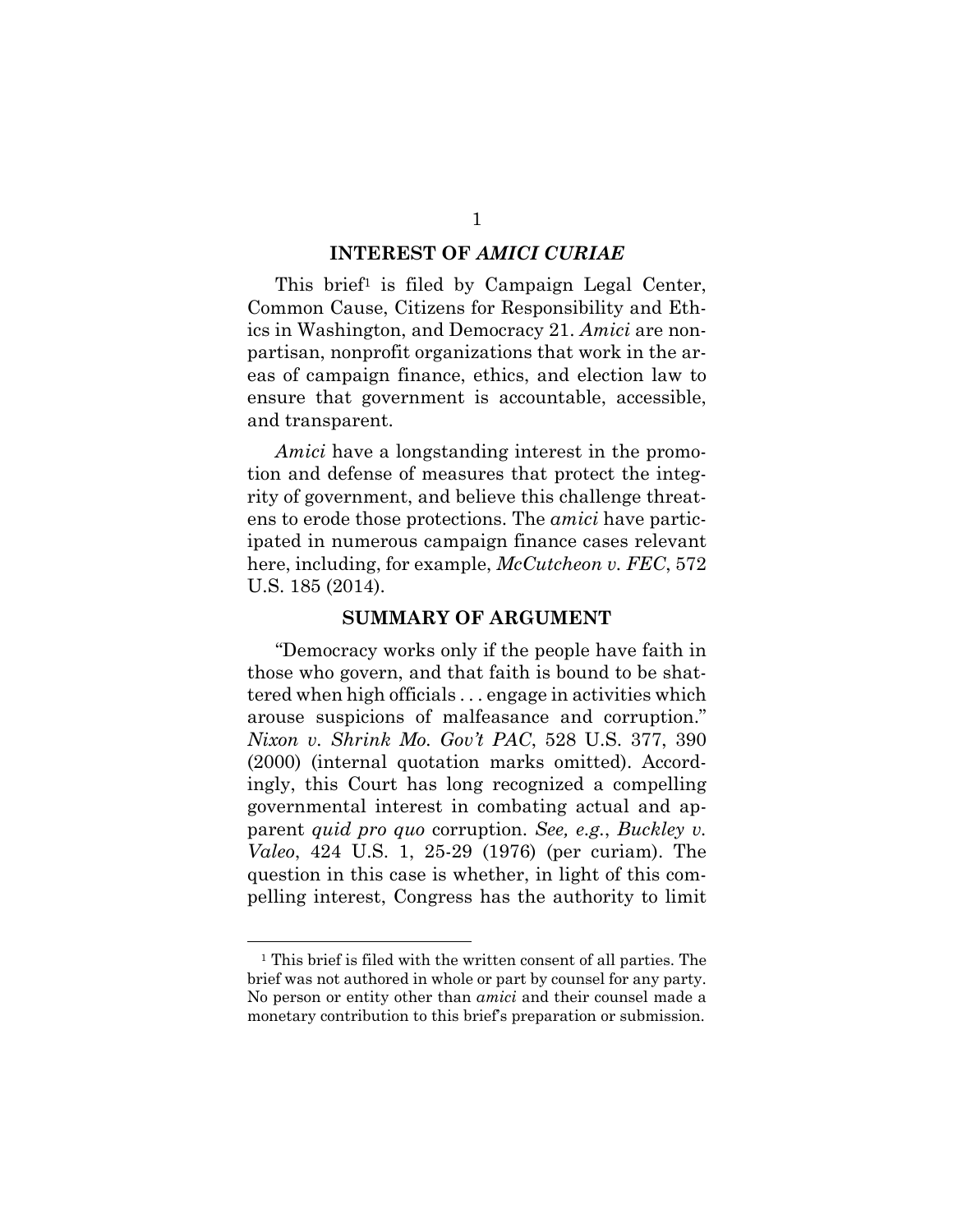#### **INTEREST OF** *AMICI CURIAE*

This brief<sup>1</sup> is filed by Campaign Legal Center, Common Cause, Citizens for Responsibility and Ethics in Washington, and Democracy 21. *Amici* are nonpartisan, nonprofit organizations that work in the areas of campaign finance, ethics, and election law to ensure that government is accountable, accessible, and transparent.

*Amici* have a longstanding interest in the promotion and defense of measures that protect the integrity of government, and believe this challenge threatens to erode those protections. The *amici* have participated in numerous campaign finance cases relevant here, including, for example, *McCutcheon v. FEC*, 572 U.S. 185 (2014).

#### **SUMMARY OF ARGUMENT**

"Democracy works only if the people have faith in those who govern, and that faith is bound to be shattered when high officials . . . engage in activities which arouse suspicions of malfeasance and corruption." *Nixon v. Shrink Mo. Gov't PAC*, 528 U.S. 377, 390 (2000) (internal quotation marks omitted). Accordingly, this Court has long recognized a compelling governmental interest in combating actual and apparent *quid pro quo* corruption. *See, e.g.*, *Buckley v. Valeo*, 424 U.S. 1, 25-29 (1976) (per curiam). The question in this case is whether, in light of this compelling interest, Congress has the authority to limit

<sup>1</sup> This brief is filed with the written consent of all parties. The brief was not authored in whole or part by counsel for any party. No person or entity other than *amici* and their counsel made a monetary contribution to this brief's preparation or submission.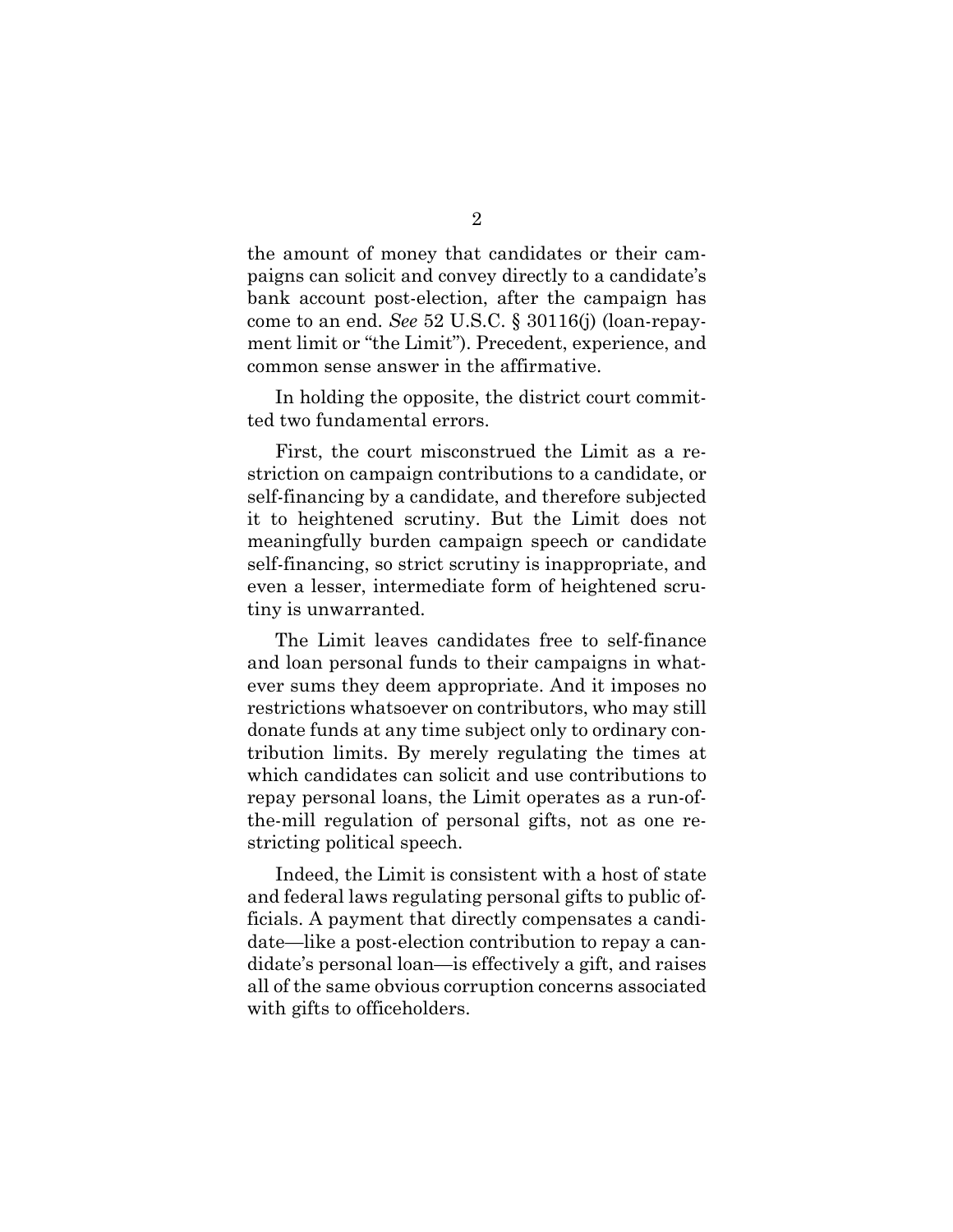the amount of money that candidates or their campaigns can solicit and convey directly to a candidate's bank account post-election, after the campaign has come to an end. *See* 52 U.S.C. § 30116(j) (loan-repayment limit or "the Limit"). Precedent, experience, and common sense answer in the affirmative.

In holding the opposite, the district court committed two fundamental errors.

First, the court misconstrued the Limit as a restriction on campaign contributions to a candidate, or self-financing by a candidate, and therefore subjected it to heightened scrutiny. But the Limit does not meaningfully burden campaign speech or candidate self-financing, so strict scrutiny is inappropriate, and even a lesser, intermediate form of heightened scrutiny is unwarranted.

The Limit leaves candidates free to self-finance and loan personal funds to their campaigns in whatever sums they deem appropriate. And it imposes no restrictions whatsoever on contributors, who may still donate funds at any time subject only to ordinary contribution limits. By merely regulating the times at which candidates can solicit and use contributions to repay personal loans, the Limit operates as a run-ofthe-mill regulation of personal gifts, not as one restricting political speech.

Indeed, the Limit is consistent with a host of state and federal laws regulating personal gifts to public officials. A payment that directly compensates a candidate—like a post-election contribution to repay a candidate's personal loan—is effectively a gift, and raises all of the same obvious corruption concerns associated with gifts to officeholders.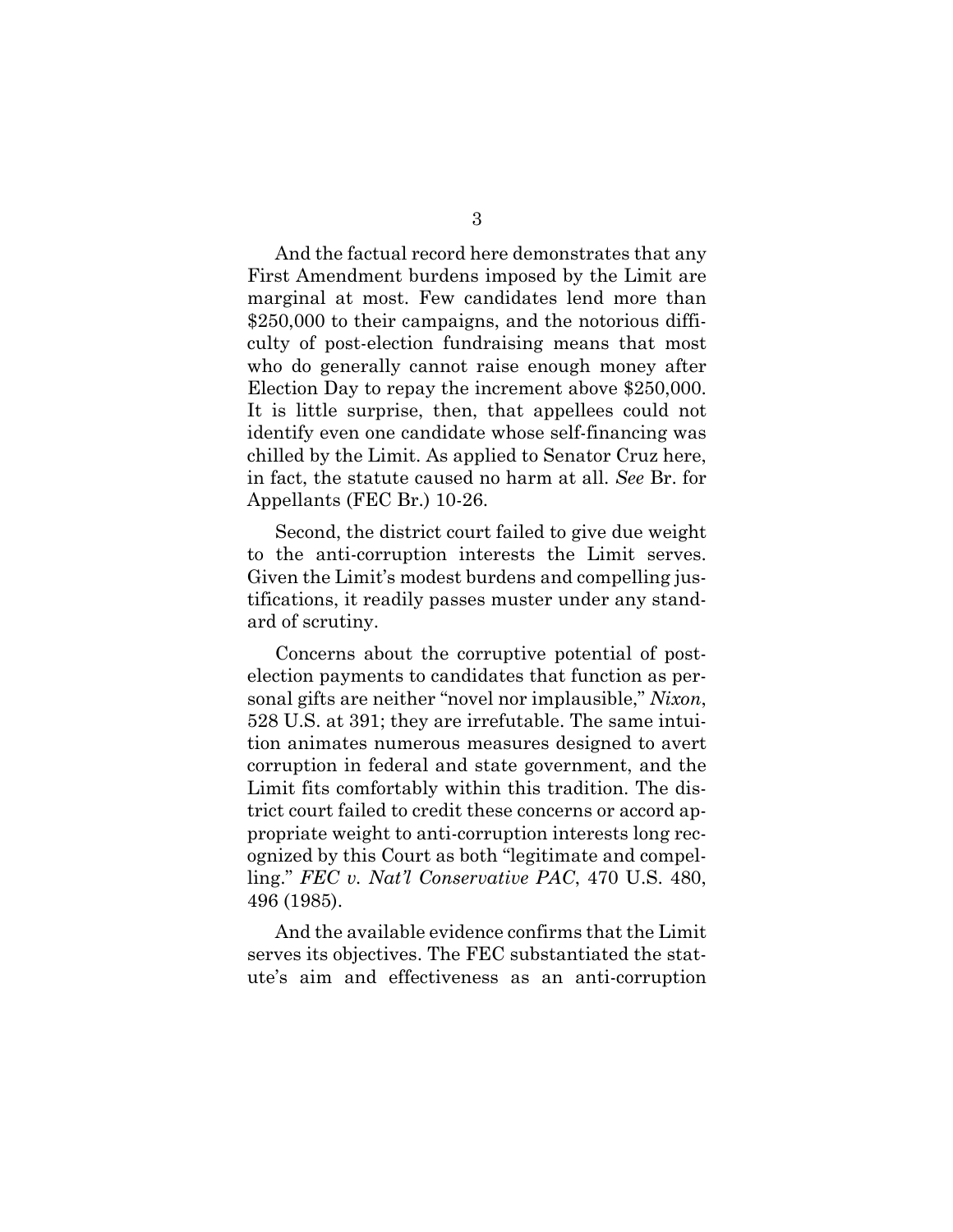And the factual record here demonstrates that any First Amendment burdens imposed by the Limit are marginal at most. Few candidates lend more than \$250,000 to their campaigns, and the notorious difficulty of post-election fundraising means that most who do generally cannot raise enough money after Election Day to repay the increment above \$250,000. It is little surprise, then, that appellees could not identify even one candidate whose self-financing was chilled by the Limit. As applied to Senator Cruz here, in fact, the statute caused no harm at all. *See* Br. for Appellants (FEC Br.) 10-26.

Second, the district court failed to give due weight to the anti-corruption interests the Limit serves. Given the Limit's modest burdens and compelling justifications, it readily passes muster under any standard of scrutiny.

Concerns about the corruptive potential of postelection payments to candidates that function as personal gifts are neither "novel nor implausible," *Nixon*, 528 U.S. at 391; they are irrefutable. The same intuition animates numerous measures designed to avert corruption in federal and state government, and the Limit fits comfortably within this tradition. The district court failed to credit these concerns or accord appropriate weight to anti-corruption interests long recognized by this Court as both "legitimate and compelling." *FEC v. Nat'l Conservative PAC*, 470 U.S. 480, 496 (1985).

And the available evidence confirms that the Limit serves its objectives. The FEC substantiated the statute's aim and effectiveness as an anti-corruption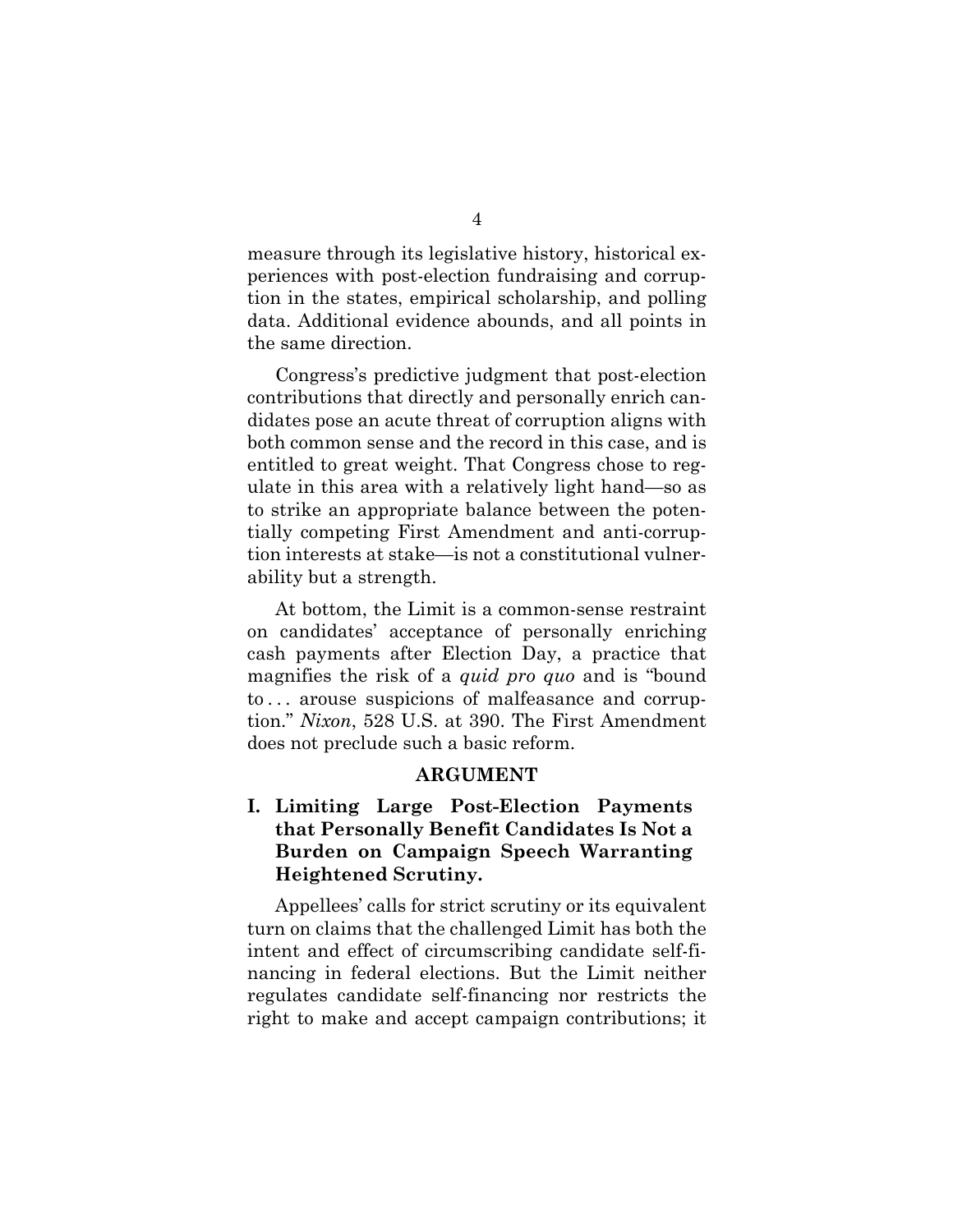measure through its legislative history, historical experiences with post-election fundraising and corruption in the states, empirical scholarship, and polling data. Additional evidence abounds, and all points in the same direction.

Congress's predictive judgment that post-election contributions that directly and personally enrich candidates pose an acute threat of corruption aligns with both common sense and the record in this case, and is entitled to great weight. That Congress chose to regulate in this area with a relatively light hand—so as to strike an appropriate balance between the potentially competing First Amendment and anti-corruption interests at stake—is not a constitutional vulnerability but a strength.

At bottom, the Limit is a common-sense restraint on candidates' acceptance of personally enriching cash payments after Election Day, a practice that magnifies the risk of a *quid pro quo* and is "bound to . . . arouse suspicions of malfeasance and corruption." *Nixon*, 528 U.S. at 390. The First Amendment does not preclude such a basic reform.

#### **ARGUMENT**

## **I. Limiting Large Post-Election Payments that Personally Benefit Candidates Is Not a Burden on Campaign Speech Warranting Heightened Scrutiny.**

Appellees' calls for strict scrutiny or its equivalent turn on claims that the challenged Limit has both the intent and effect of circumscribing candidate self-financing in federal elections. But the Limit neither regulates candidate self-financing nor restricts the right to make and accept campaign contributions; it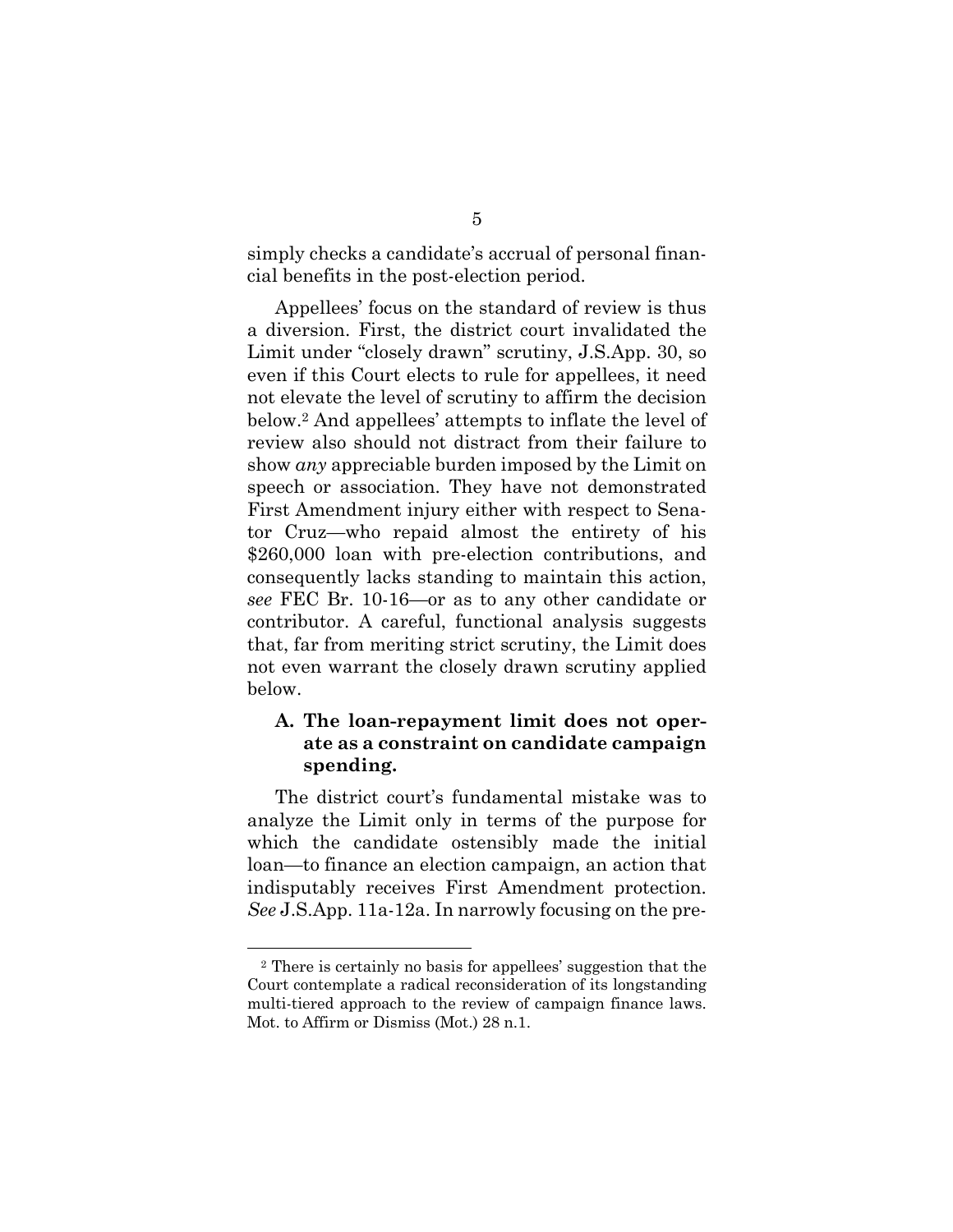simply checks a candidate's accrual of personal financial benefits in the post-election period.

Appellees' focus on the standard of review is thus a diversion. First, the district court invalidated the Limit under "closely drawn" scrutiny, J.S.App. 30, so even if this Court elects to rule for appellees, it need not elevate the level of scrutiny to affirm the decision below.<sup>2</sup> And appellees' attempts to inflate the level of review also should not distract from their failure to show *any* appreciable burden imposed by the Limit on speech or association. They have not demonstrated First Amendment injury either with respect to Senator Cruz—who repaid almost the entirety of his \$260,000 loan with pre-election contributions, and consequently lacks standing to maintain this action, *see* FEC Br. 10-16—or as to any other candidate or contributor. A careful, functional analysis suggests that, far from meriting strict scrutiny, the Limit does not even warrant the closely drawn scrutiny applied below.

## **A. The loan-repayment limit does not operate as a constraint on candidate campaign spending.**

The district court's fundamental mistake was to analyze the Limit only in terms of the purpose for which the candidate ostensibly made the initial loan—to finance an election campaign, an action that indisputably receives First Amendment protection. *See* J.S.App. 11a-12a. In narrowly focusing on the pre-

<sup>2</sup> There is certainly no basis for appellees' suggestion that the Court contemplate a radical reconsideration of its longstanding multi-tiered approach to the review of campaign finance laws. Mot. to Affirm or Dismiss (Mot.) 28 n.1.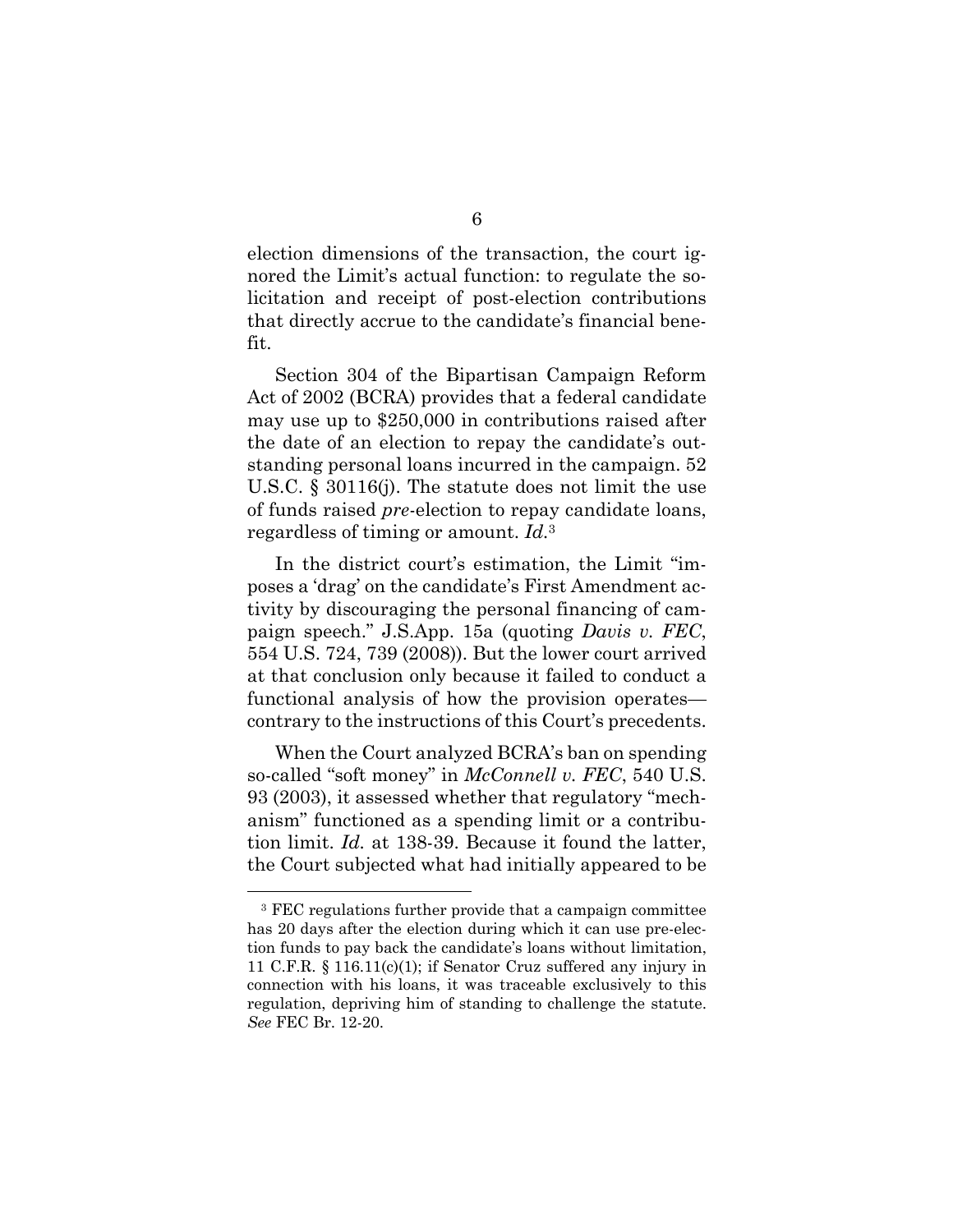election dimensions of the transaction, the court ignored the Limit's actual function: to regulate the solicitation and receipt of post-election contributions that directly accrue to the candidate's financial benefit.

Section 304 of the Bipartisan Campaign Reform Act of 2002 (BCRA) provides that a federal candidate may use up to \$250,000 in contributions raised after the date of an election to repay the candidate's outstanding personal loans incurred in the campaign. 52 U.S.C. § 30116(j). The statute does not limit the use of funds raised *pre*-election to repay candidate loans, regardless of timing or amount. *Id.*<sup>3</sup>

In the district court's estimation, the Limit "imposes a 'drag' on the candidate's First Amendment activity by discouraging the personal financing of campaign speech." J.S.App. 15a (quoting *Davis v. FEC*, 554 U.S. 724, 739 (2008)). But the lower court arrived at that conclusion only because it failed to conduct a functional analysis of how the provision operates contrary to the instructions of this Court's precedents.

When the Court analyzed BCRA's ban on spending so-called "soft money" in *McConnell v. FEC*, 540 U.S. 93 (2003), it assessed whether that regulatory "mechanism" functioned as a spending limit or a contribution limit. *Id.* at 138-39. Because it found the latter, the Court subjected what had initially appeared to be

<sup>3</sup> FEC regulations further provide that a campaign committee has 20 days after the election during which it can use pre-election funds to pay back the candidate's loans without limitation, 11 C.F.R. § 116.11(c)(1); if Senator Cruz suffered any injury in connection with his loans, it was traceable exclusively to this regulation, depriving him of standing to challenge the statute. *See* FEC Br. 12-20.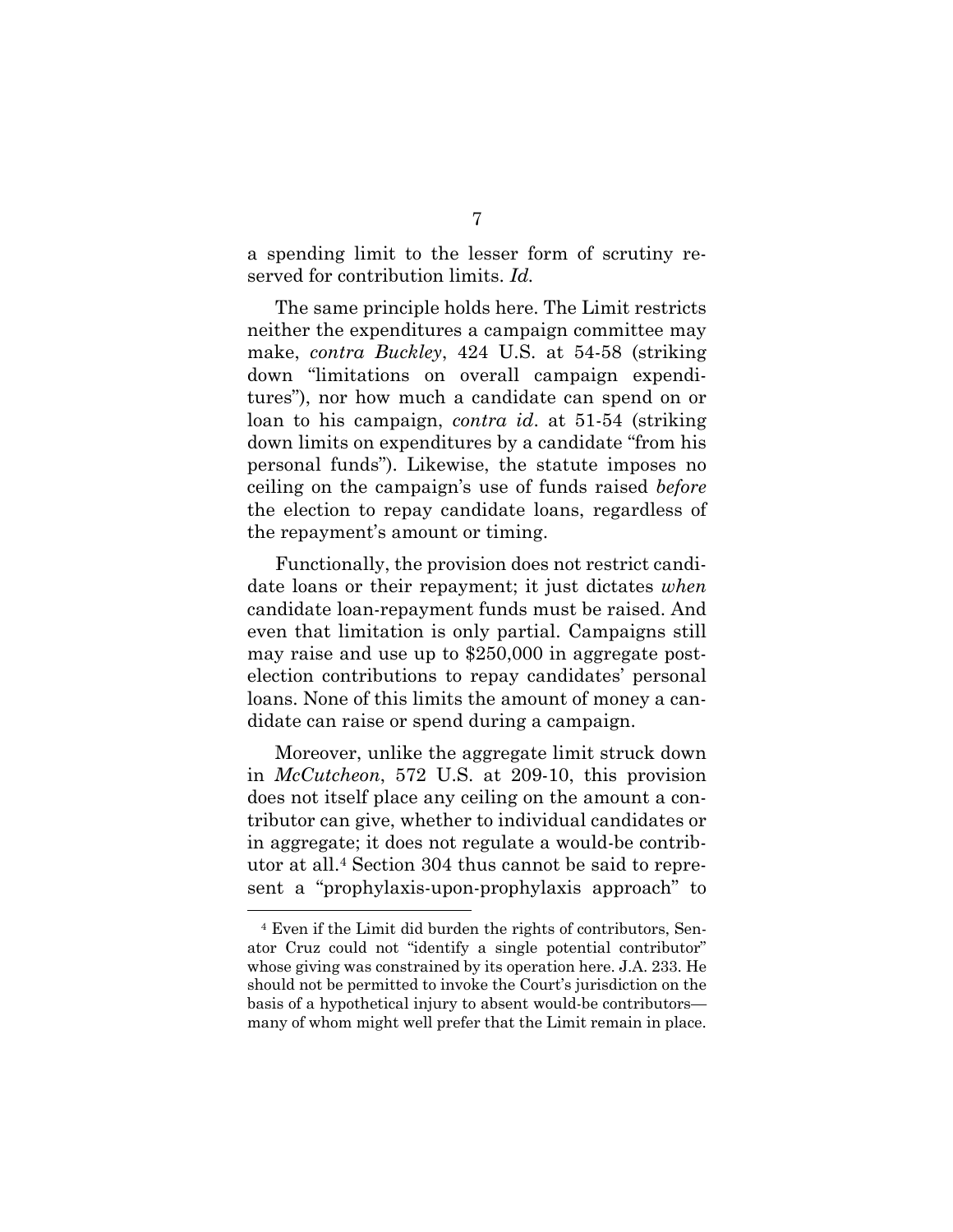a spending limit to the lesser form of scrutiny reserved for contribution limits. *Id.*

The same principle holds here. The Limit restricts neither the expenditures a campaign committee may make, *contra Buckley*, 424 U.S. at 54-58 (striking down "limitations on overall campaign expenditures"), nor how much a candidate can spend on or loan to his campaign, *contra id*. at 51-54 (striking down limits on expenditures by a candidate "from his personal funds"). Likewise, the statute imposes no ceiling on the campaign's use of funds raised *before*  the election to repay candidate loans, regardless of the repayment's amount or timing.

Functionally, the provision does not restrict candidate loans or their repayment; it just dictates *when* candidate loan-repayment funds must be raised. And even that limitation is only partial. Campaigns still may raise and use up to \$250,000 in aggregate postelection contributions to repay candidates' personal loans. None of this limits the amount of money a candidate can raise or spend during a campaign.

Moreover, unlike the aggregate limit struck down in *McCutcheon*, 572 U.S. at 209-10, this provision does not itself place any ceiling on the amount a contributor can give, whether to individual candidates or in aggregate; it does not regulate a would-be contributor at all.<sup>4</sup> Section 304 thus cannot be said to represent a "prophylaxis-upon-prophylaxis approach" to

<sup>4</sup> Even if the Limit did burden the rights of contributors, Senator Cruz could not "identify a single potential contributor" whose giving was constrained by its operation here. J.A. 233. He should not be permitted to invoke the Court's jurisdiction on the basis of a hypothetical injury to absent would-be contributors many of whom might well prefer that the Limit remain in place.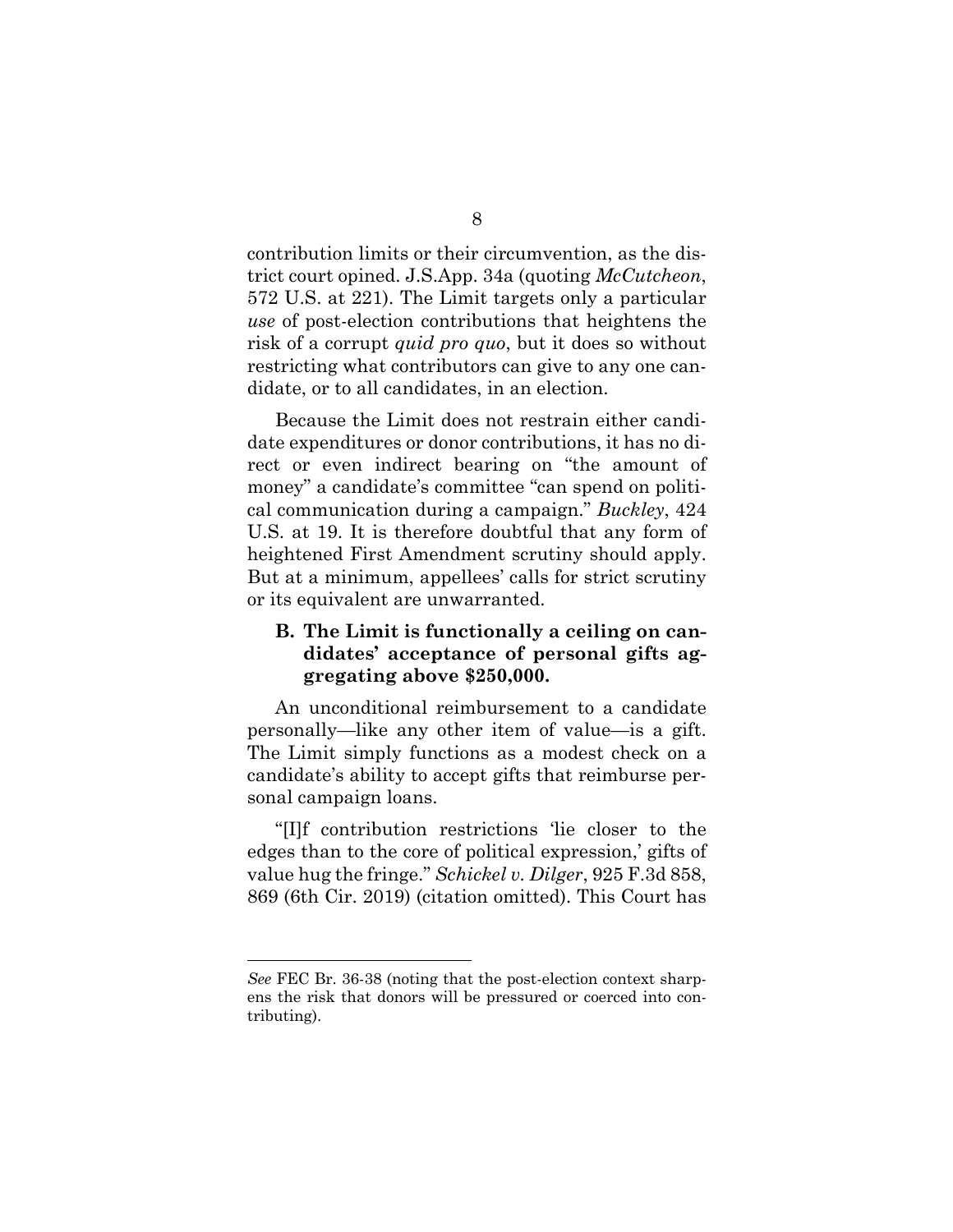contribution limits or their circumvention, as the district court opined. J.S.App. 34a (quoting *McCutcheon*, 572 U.S. at 221). The Limit targets only a particular *use* of post-election contributions that heightens the risk of a corrupt *quid pro quo*, but it does so without restricting what contributors can give to any one candidate, or to all candidates, in an election.

Because the Limit does not restrain either candidate expenditures or donor contributions, it has no direct or even indirect bearing on "the amount of money" a candidate's committee "can spend on political communication during a campaign." *Buckley*, 424 U.S. at 19. It is therefore doubtful that any form of heightened First Amendment scrutiny should apply. But at a minimum, appellees' calls for strict scrutiny or its equivalent are unwarranted.

### **B. The Limit is functionally a ceiling on candidates' acceptance of personal gifts aggregating above \$250,000.**

An unconditional reimbursement to a candidate personally—like any other item of value—is a gift. The Limit simply functions as a modest check on a candidate's ability to accept gifts that reimburse personal campaign loans.

"[I]f contribution restrictions 'lie closer to the edges than to the core of political expression,' gifts of value hug the fringe." *Schickel v. Dilger*, 925 F.3d 858, 869 (6th Cir. 2019) (citation omitted). This Court has

*See* FEC Br. 36-38 (noting that the post-election context sharpens the risk that donors will be pressured or coerced into contributing).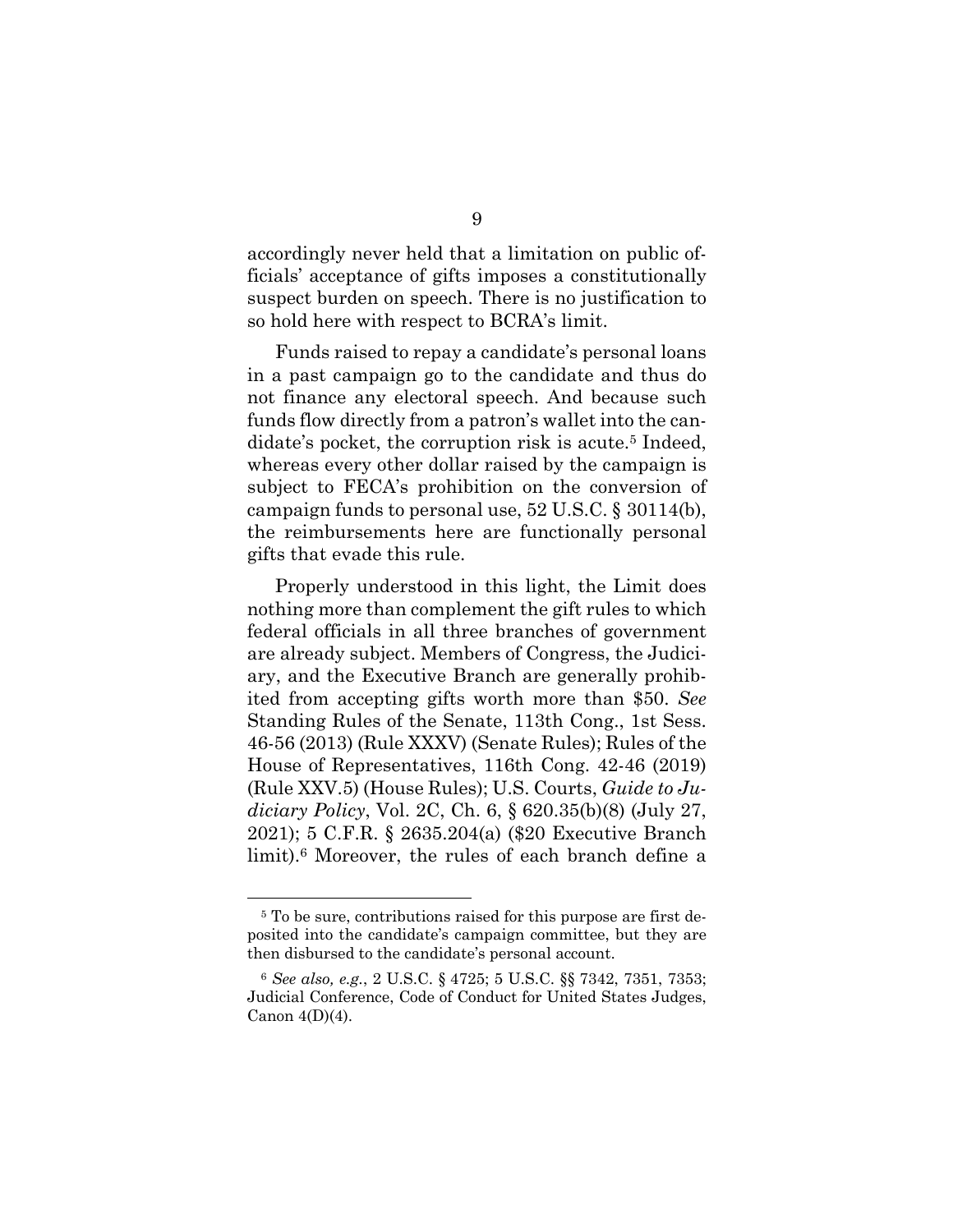accordingly never held that a limitation on public officials' acceptance of gifts imposes a constitutionally suspect burden on speech. There is no justification to so hold here with respect to BCRA's limit.

Funds raised to repay a candidate's personal loans in a past campaign go to the candidate and thus do not finance any electoral speech. And because such funds flow directly from a patron's wallet into the candidate's pocket, the corruption risk is acute.<sup>5</sup> Indeed, whereas every other dollar raised by the campaign is subject to FECA's prohibition on the conversion of campaign funds to personal use, 52 U.S.C. § 30114(b), the reimbursements here are functionally personal gifts that evade this rule.

Properly understood in this light, the Limit does nothing more than complement the gift rules to which federal officials in all three branches of government are already subject. Members of Congress, the Judiciary, and the Executive Branch are generally prohibited from accepting gifts worth more than \$50. *See* Standing Rules of the Senate, 113th Cong., 1st Sess. 46-56 (2013) (Rule XXXV) (Senate Rules); Rules of the House of Representatives, 116th Cong. 42-46 (2019) (Rule XXV.5) (House Rules); U.S. Courts, *Guide to Judiciary Policy*, Vol. 2C, Ch. 6, § 620.35(b)(8) (July 27, 2021); 5 C.F.R. § 2635.204(a) (\$20 Executive Branch limit).<sup>6</sup> Moreover, the rules of each branch define a

<sup>5</sup> To be sure, contributions raised for this purpose are first deposited into the candidate's campaign committee, but they are then disbursed to the candidate's personal account.

<sup>6</sup> *See also, e.g.*, 2 U.S.C. § 4725; 5 U.S.C. §§ 7342, 7351, 7353; Judicial Conference, Code of Conduct for United States Judges, Canon  $4(D)(4)$ .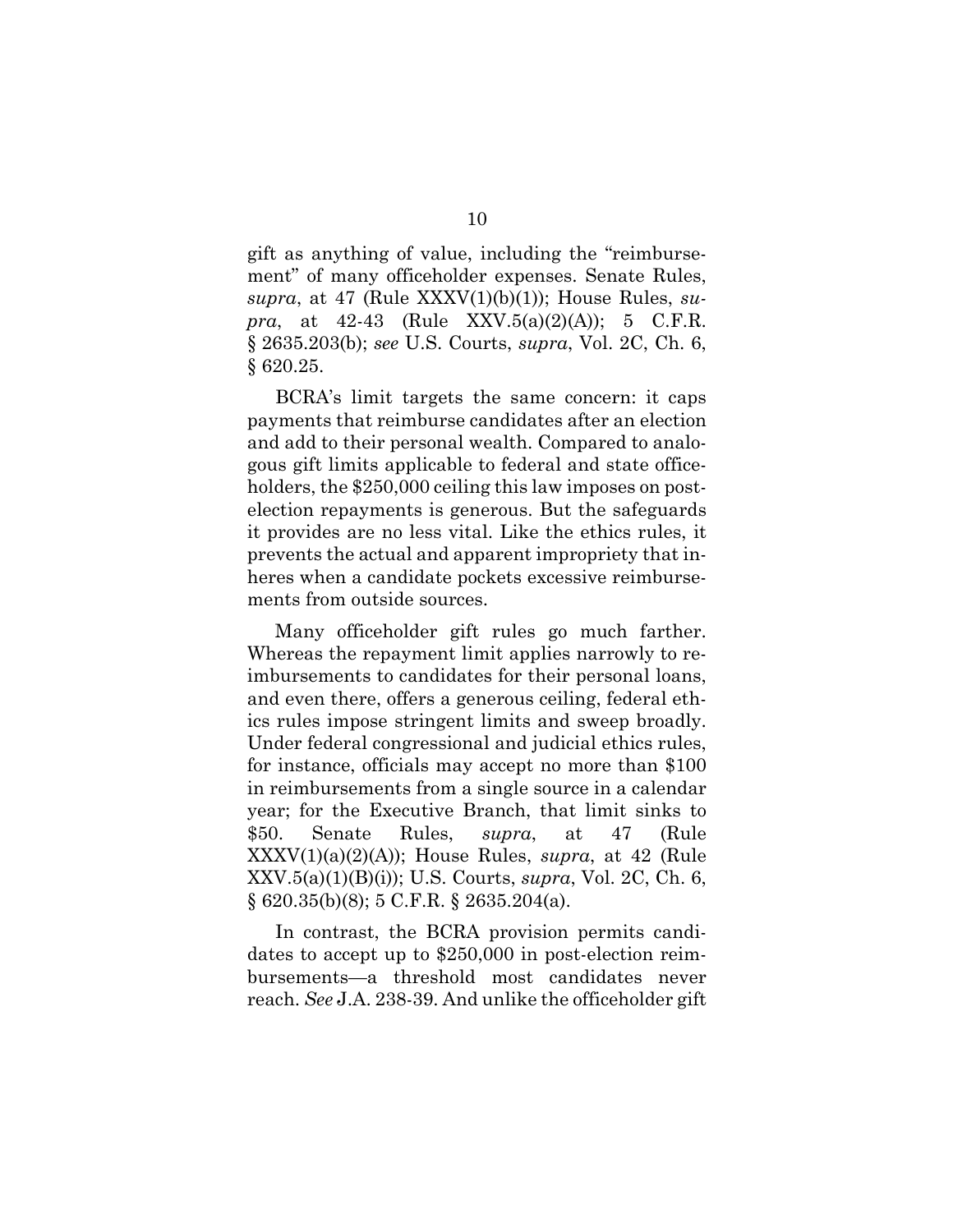gift as anything of value, including the "reimbursement" of many officeholder expenses. Senate Rules, *supra*, at 47 (Rule XXXV(1)(b)(1)); House Rules, *supra*, at 42-43 (Rule XXV.5(a)(2)(A)); 5 C.F.R. § 2635.203(b); *see* U.S. Courts, *supra*, Vol. 2C, Ch. 6, § 620.25.

BCRA's limit targets the same concern: it caps payments that reimburse candidates after an election and add to their personal wealth. Compared to analogous gift limits applicable to federal and state officeholders, the \$250,000 ceiling this law imposes on postelection repayments is generous. But the safeguards it provides are no less vital. Like the ethics rules, it prevents the actual and apparent impropriety that inheres when a candidate pockets excessive reimbursements from outside sources.

Many officeholder gift rules go much farther. Whereas the repayment limit applies narrowly to reimbursements to candidates for their personal loans, and even there, offers a generous ceiling, federal ethics rules impose stringent limits and sweep broadly. Under federal congressional and judicial ethics rules, for instance, officials may accept no more than \$100 in reimbursements from a single source in a calendar year; for the Executive Branch, that limit sinks to \$50. Senate Rules, *supra*, at 47 (Rule XXXV(1)(a)(2)(A)); House Rules, *supra*, at 42 (Rule XXV.5(a)(1)(B)(i)); U.S. Courts, *supra*, Vol. 2C, Ch. 6, § 620.35(b)(8); 5 C.F.R. § 2635.204(a).

In contrast, the BCRA provision permits candidates to accept up to \$250,000 in post-election reimbursements—a threshold most candidates never reach. *See* J.A. 238-39. And unlike the officeholder gift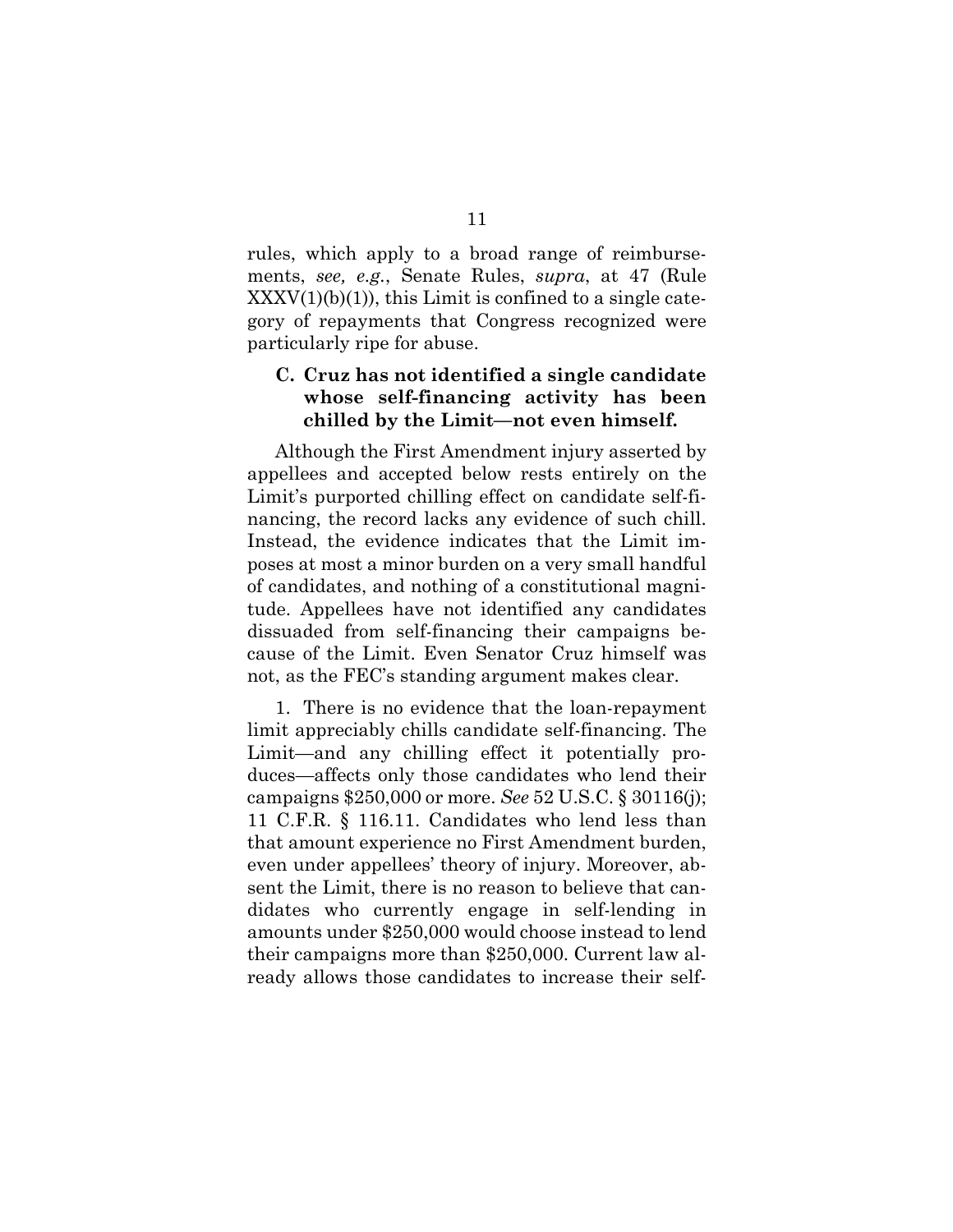rules, which apply to a broad range of reimbursements, *see, e.g.*, Senate Rules, *supra*, at 47 (Rule  $XXXV(1)(b)(1)$ , this Limit is confined to a single category of repayments that Congress recognized were particularly ripe for abuse.

## **C. Cruz has not identified a single candidate whose self-financing activity has been chilled by the Limit—not even himself.**

Although the First Amendment injury asserted by appellees and accepted below rests entirely on the Limit's purported chilling effect on candidate self-financing, the record lacks any evidence of such chill. Instead, the evidence indicates that the Limit imposes at most a minor burden on a very small handful of candidates, and nothing of a constitutional magnitude. Appellees have not identified any candidates dissuaded from self-financing their campaigns because of the Limit. Even Senator Cruz himself was not, as the FEC's standing argument makes clear.

1. There is no evidence that the loan-repayment limit appreciably chills candidate self-financing. The Limit—and any chilling effect it potentially produces—affects only those candidates who lend their campaigns \$250,000 or more. *See* 52 U.S.C. § 30116(j); 11 C.F.R. § 116.11. Candidates who lend less than that amount experience no First Amendment burden, even under appellees' theory of injury. Moreover, absent the Limit, there is no reason to believe that candidates who currently engage in self-lending in amounts under \$250,000 would choose instead to lend their campaigns more than \$250,000. Current law already allows those candidates to increase their self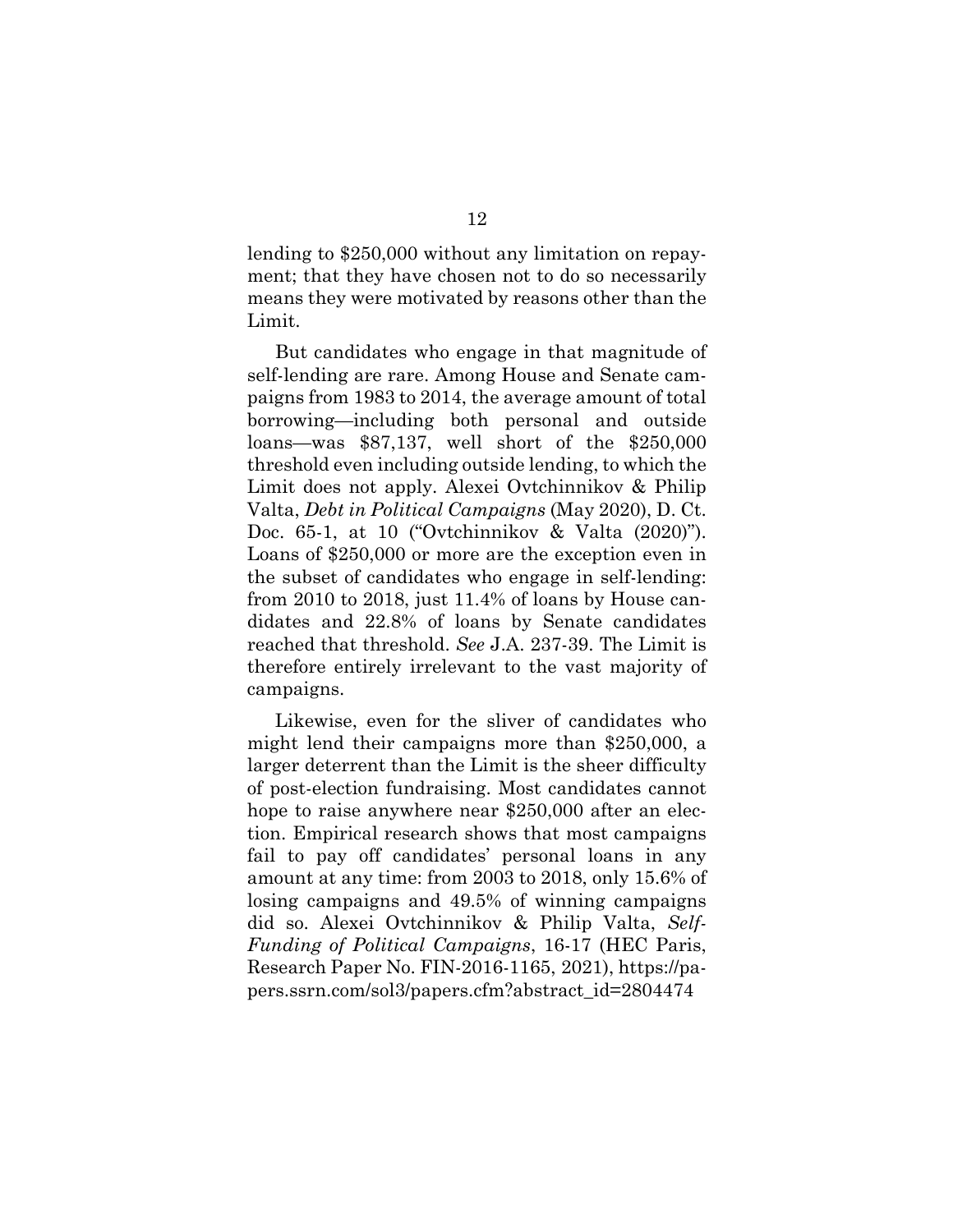lending to \$250,000 without any limitation on repayment; that they have chosen not to do so necessarily means they were motivated by reasons other than the Limit.

But candidates who engage in that magnitude of self-lending are rare. Among House and Senate campaigns from 1983 to 2014, the average amount of total borrowing—including both personal and outside loans—was \$87,137, well short of the \$250,000 threshold even including outside lending, to which the Limit does not apply. Alexei Ovtchinnikov & Philip Valta, *Debt in Political Campaigns* (May 2020), D. Ct. Doc. 65-1, at 10 ("Ovtchinnikov & Valta (2020)"). Loans of \$250,000 or more are the exception even in the subset of candidates who engage in self-lending: from 2010 to 2018, just 11.4% of loans by House candidates and 22.8% of loans by Senate candidates reached that threshold. *See* J.A. 237-39. The Limit is therefore entirely irrelevant to the vast majority of campaigns.

Likewise, even for the sliver of candidates who might lend their campaigns more than \$250,000, a larger deterrent than the Limit is the sheer difficulty of post-election fundraising. Most candidates cannot hope to raise anywhere near \$250,000 after an election. Empirical research shows that most campaigns fail to pay off candidates' personal loans in any amount at any time: from 2003 to 2018, only 15.6% of losing campaigns and 49.5% of winning campaigns did so. Alexei Ovtchinnikov & Philip Valta, *Self-Funding of Political Campaigns*, 16-17 (HEC Paris, Research Paper No. FIN-2016-1165, 2021), [https://p](https://papers.ssrn.com/sol3/papers.cfm?abstract_id=2804474)a[pers.ssrn.com/sol3/papers.cfm?abstract\\_id=2804474](https://papers.ssrn.com/sol3/papers.cfm?abstract_id=2804474)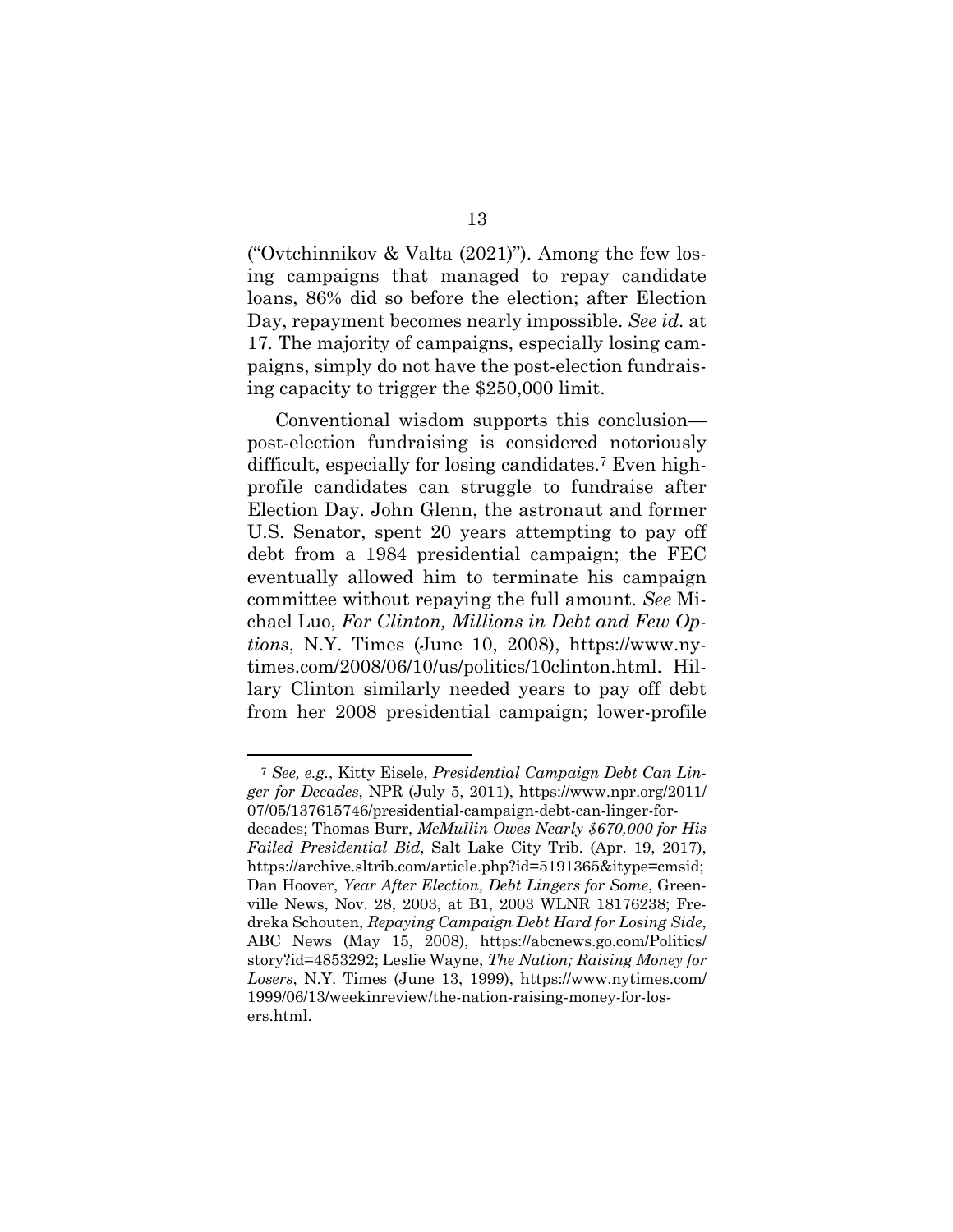("Ovtchinnikov & Valta (2021)"). Among the few losing campaigns that managed to repay candidate loans, 86% did so before the election; after Election Day, repayment becomes nearly impossible. *See id.* at 17*.* The majority of campaigns, especially losing campaigns, simply do not have the post-election fundraising capacity to trigger the \$250,000 limit.

Conventional wisdom supports this conclusion post-election fundraising is considered notoriously difficult, especially for losing candidates.<sup>7</sup> Even highprofile candidates can struggle to fundraise after Election Day. John Glenn, the astronaut and former U.S. Senator, spent 20 years attempting to pay off debt from a 1984 presidential campaign; the FEC eventually allowed him to terminate his campaign committee without repaying the full amount. *See* Michael Luo, *For Clinton, Millions in Debt and Few Options*, N.Y. Times (June 10, 2008), [https://www.n](https://www.nytimes.com/2008/06/10/us/politics/10clinton.html)y[times.com/2008/06/10/us/politics/10clinton.html](https://www.nytimes.com/2008/06/10/us/politics/10clinton.html). Hillary Clinton similarly needed years to pay off debt from her 2008 presidential campaign; lower-profile

<sup>7</sup> *See, e.g.*, Kitty Eisele, *Presidential Campaign Debt Can Linger for Decades*, NPR (July 5, 2011), https://www.npr.org/2011/ 07/05/137615746/presidential-campaign-debt-can-linger-for-

decades; Thomas Burr, *McMullin Owes Nearly \$670,000 for His Failed Presidential Bid*, Salt Lake City Trib. (Apr. 19, 2017), https://archive.sltrib.com/article.php?id=5191365&itype=cmsid; Dan Hoover, *Year After Election, Debt Lingers for Some*, Greenville News, Nov. 28, 2003, at B1, 2003 WLNR 18176238; Fredreka Schouten, *Repaying Campaign Debt Hard for Losing Side*, ABC News (May 15, 2008), https://abcnews.go.com/Politics/ story?id=4853292; Leslie Wayne, *The Nation; Raising Money for Losers*, N.Y. Times (June 13, 1999), https://www.nytimes.com/ 1999/06/13/weekinreview/the-nation-raising-money-for-losers.html.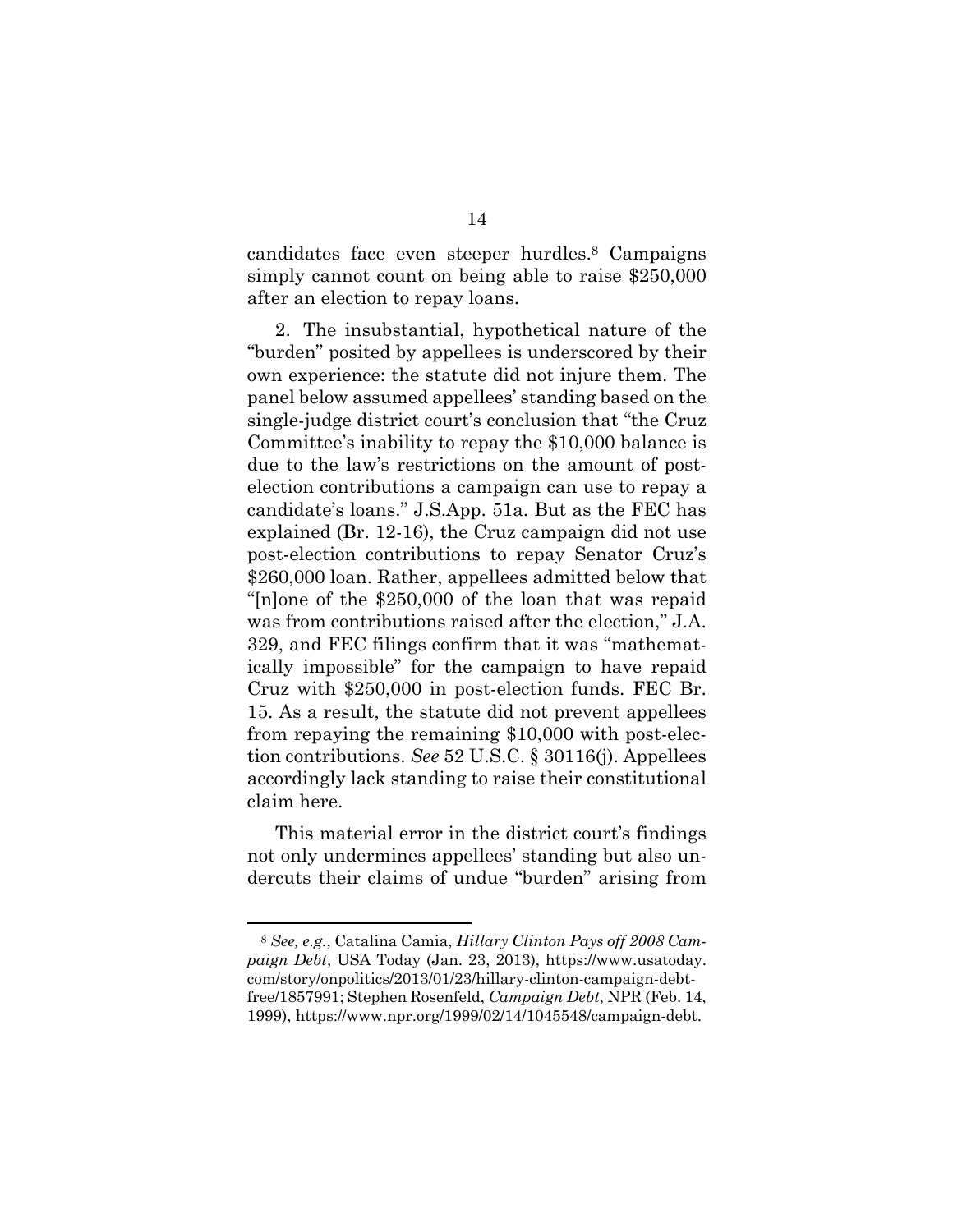candidates face even steeper hurdles.<sup>8</sup> Campaigns simply cannot count on being able to raise \$250,000 after an election to repay loans.

2. The insubstantial, hypothetical nature of the "burden" posited by appellees is underscored by their own experience: the statute did not injure them. The panel below assumed appellees' standing based on the single-judge district court's conclusion that "the Cruz Committee's inability to repay the \$10,000 balance is due to the law's restrictions on the amount of postelection contributions a campaign can use to repay a candidate's loans." J.S.App. 51a. But as the FEC has explained (Br. 12-16), the Cruz campaign did not use post-election contributions to repay Senator Cruz's \$260,000 loan. Rather, appellees admitted below that "[n]one of the \$250,000 of the loan that was repaid was from contributions raised after the election," J.A. 329, and FEC filings confirm that it was "mathematically impossible" for the campaign to have repaid Cruz with \$250,000 in post-election funds. FEC Br. 15. As a result, the statute did not prevent appellees from repaying the remaining \$10,000 with post-election contributions. *See* 52 U.S.C. § 30116(j). Appellees accordingly lack standing to raise their constitutional claim here.

This material error in the district court's findings not only undermines appellees' standing but also undercuts their claims of undue "burden" arising from

<sup>8</sup> *See, e.g.*, Catalina Camia, *Hillary Clinton Pays off 2008 Campaign Debt*, USA Today (Jan. 23, 2013), https://www.usatoday. com/story/onpolitics/2013/01/23/hillary-clinton-campaign-debtfree/1857991; Stephen Rosenfeld, *Campaign Debt*, NPR (Feb. 14, 1999), https://www.npr.org/1999/02/14/1045548/campaign-debt.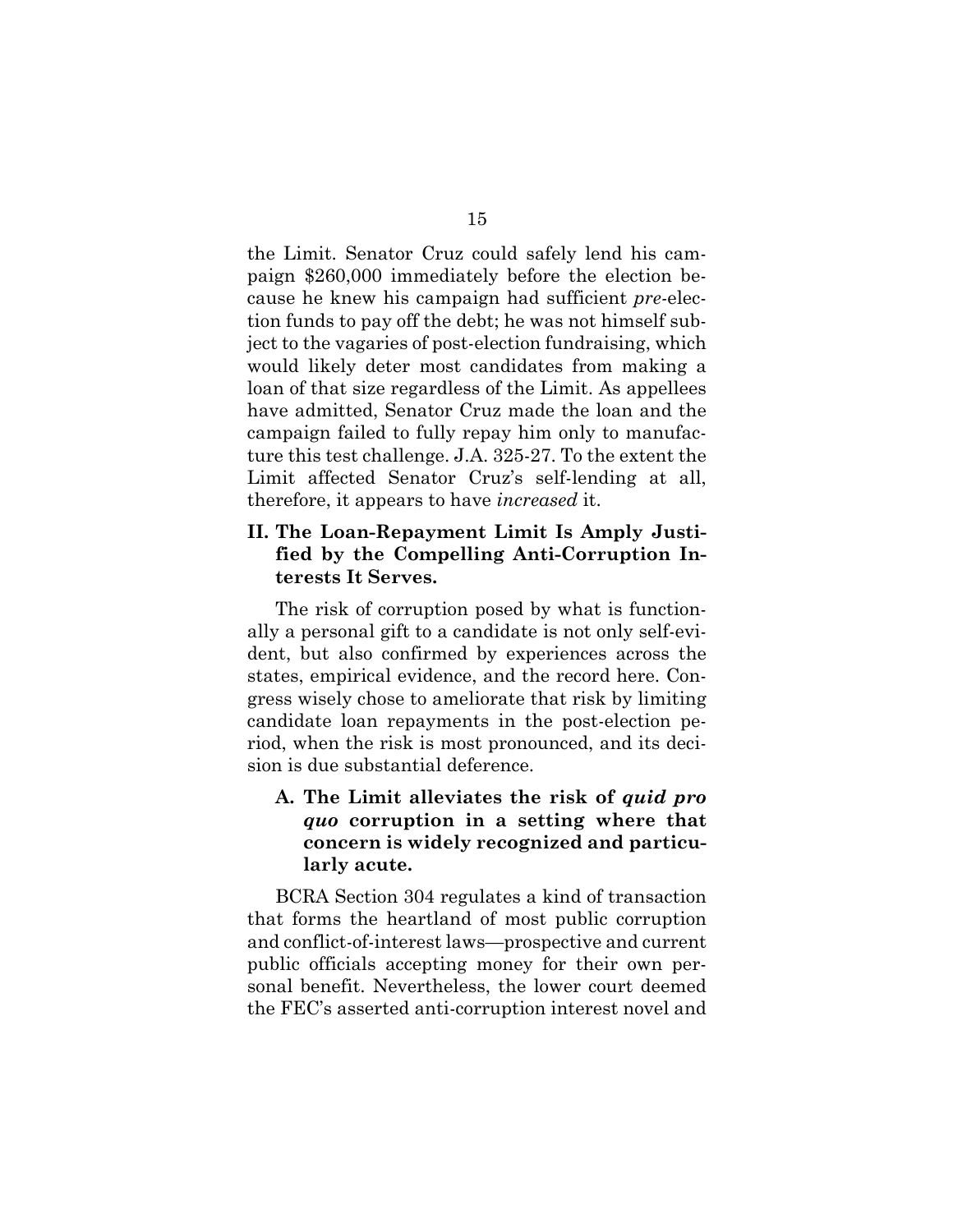the Limit. Senator Cruz could safely lend his campaign \$260,000 immediately before the election because he knew his campaign had sufficient *pre-*election funds to pay off the debt; he was not himself subject to the vagaries of post-election fundraising, which would likely deter most candidates from making a loan of that size regardless of the Limit. As appellees have admitted, Senator Cruz made the loan and the campaign failed to fully repay him only to manufacture this test challenge. J.A. 325-27. To the extent the Limit affected Senator Cruz's self-lending at all, therefore, it appears to have *increased* it.

## **II. The Loan-Repayment Limit Is Amply Justified by the Compelling Anti-Corruption Interests It Serves.**

The risk of corruption posed by what is functionally a personal gift to a candidate is not only self-evident, but also confirmed by experiences across the states, empirical evidence, and the record here. Congress wisely chose to ameliorate that risk by limiting candidate loan repayments in the post-election period, when the risk is most pronounced, and its decision is due substantial deference.

## **A. The Limit alleviates the risk of** *quid pro quo* **corruption in a setting where that concern is widely recognized and particularly acute.**

BCRA Section 304 regulates a kind of transaction that forms the heartland of most public corruption and conflict-of-interest laws—prospective and current public officials accepting money for their own personal benefit. Nevertheless, the lower court deemed the FEC's asserted anti-corruption interest novel and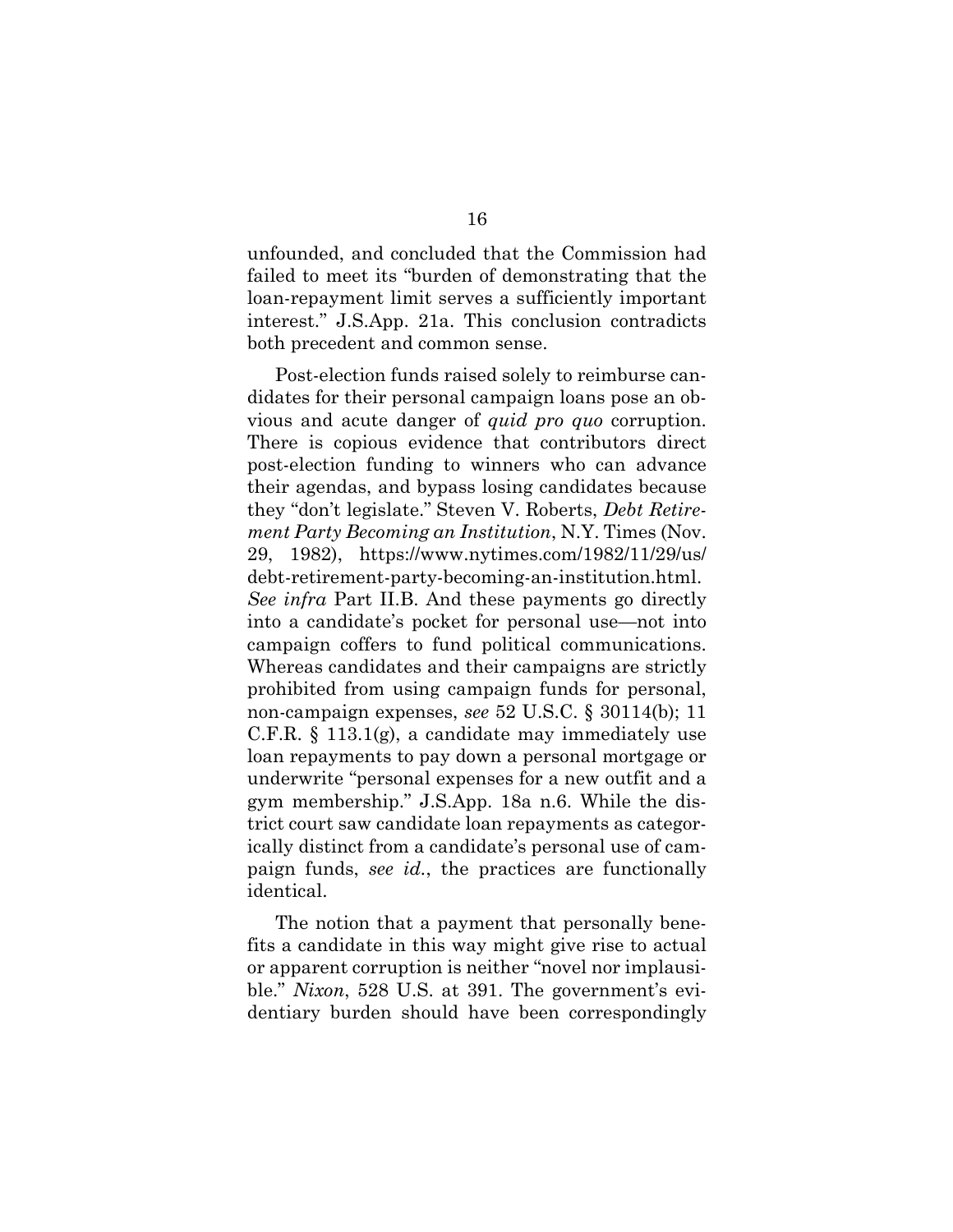unfounded, and concluded that the Commission had failed to meet its "burden of demonstrating that the loan-repayment limit serves a sufficiently important interest." J.S.App. 21a. This conclusion contradicts both precedent and common sense.

Post-election funds raised solely to reimburse candidates for their personal campaign loans pose an obvious and acute danger of *quid pro quo* corruption. There is copious evidence that contributors direct post-election funding to winners who can advance their agendas, and bypass losing candidates because they "don't legislate." Steven V. Roberts, *Debt Retirement Party Becoming an Institution*, N.Y. Times (Nov. 29, 1982), [https://www.nytimes.com/1982/11/29/us/](https://www.nytimes.com/1982/11/29/us/debt-retirement-party-becoming-an-institution.html) [debt-retirement-party-becoming-an-institution.html](https://www.nytimes.com/1982/11/29/us/debt-retirement-party-becoming-an-institution.html). *See infra* Part II.B. And these payments go directly into a candidate's pocket for personal use—not into campaign coffers to fund political communications. Whereas candidates and their campaigns are strictly prohibited from using campaign funds for personal, non-campaign expenses, *see* 52 U.S.C. § 30114(b); 11 C.F.R. § 113.1(g), a candidate may immediately use loan repayments to pay down a personal mortgage or underwrite "personal expenses for a new outfit and a gym membership." J.S.App. 18a n.6. While the district court saw candidate loan repayments as categorically distinct from a candidate's personal use of campaign funds, *see id.*, the practices are functionally identical.

The notion that a payment that personally benefits a candidate in this way might give rise to actual or apparent corruption is neither "novel nor implausible." *Nixon*, 528 U.S. at 391. The government's evidentiary burden should have been correspondingly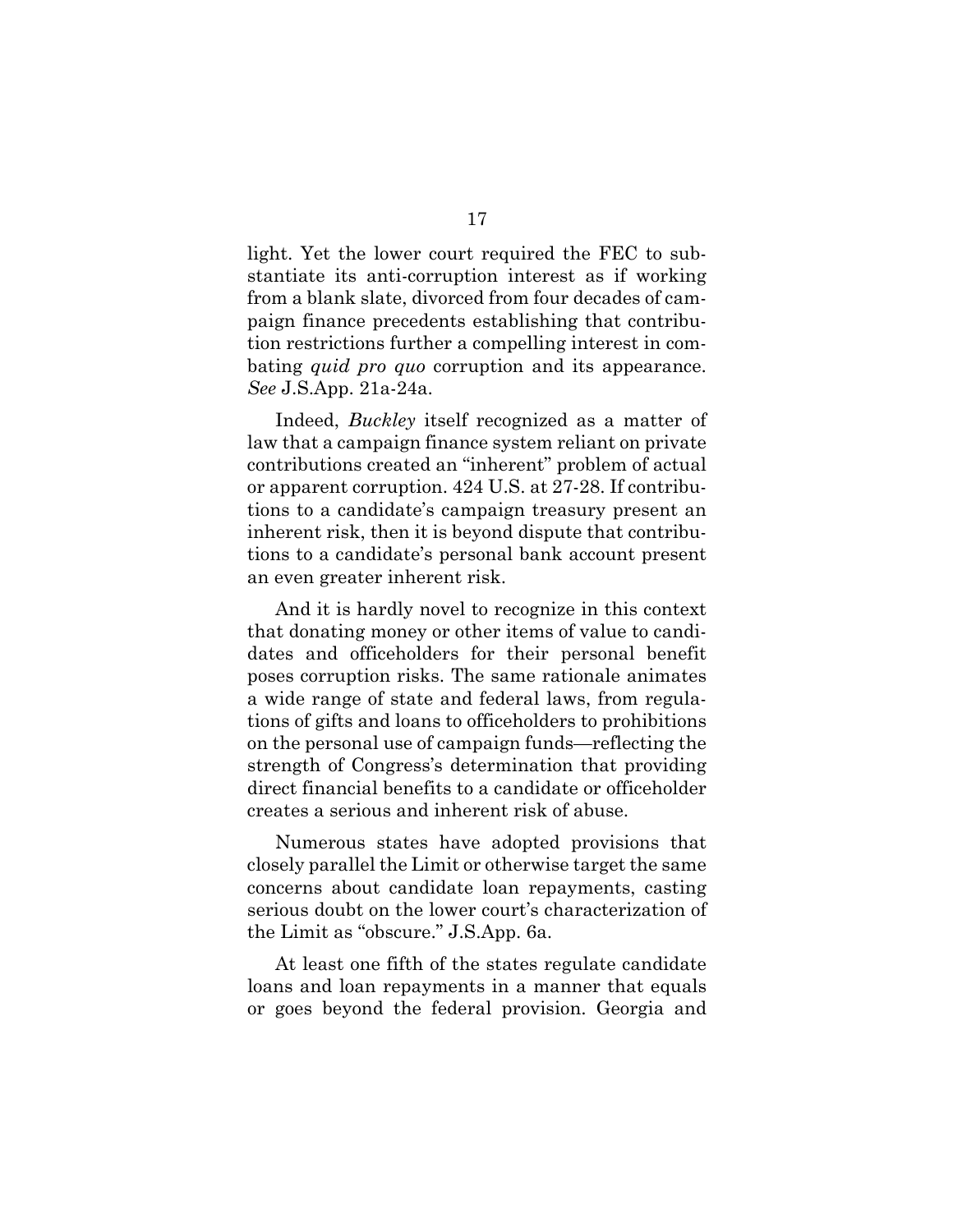light. Yet the lower court required the FEC to substantiate its anti-corruption interest as if working from a blank slate, divorced from four decades of campaign finance precedents establishing that contribution restrictions further a compelling interest in combating *quid pro quo* corruption and its appearance. *See* J.S.App. 21a-24a.

Indeed, *Buckley* itself recognized as a matter of law that a campaign finance system reliant on private contributions created an "inherent" problem of actual or apparent corruption. 424 U.S. at 27-28. If contributions to a candidate's campaign treasury present an inherent risk, then it is beyond dispute that contributions to a candidate's personal bank account present an even greater inherent risk.

And it is hardly novel to recognize in this context that donating money or other items of value to candidates and officeholders for their personal benefit poses corruption risks. The same rationale animates a wide range of state and federal laws, from regulations of gifts and loans to officeholders to prohibitions on the personal use of campaign funds—reflecting the strength of Congress's determination that providing direct financial benefits to a candidate or officeholder creates a serious and inherent risk of abuse.

Numerous states have adopted provisions that closely parallel the Limit or otherwise target the same concerns about candidate loan repayments, casting serious doubt on the lower court's characterization of the Limit as "obscure." J.S.App. 6a.

At least one fifth of the states regulate candidate loans and loan repayments in a manner that equals or goes beyond the federal provision. Georgia and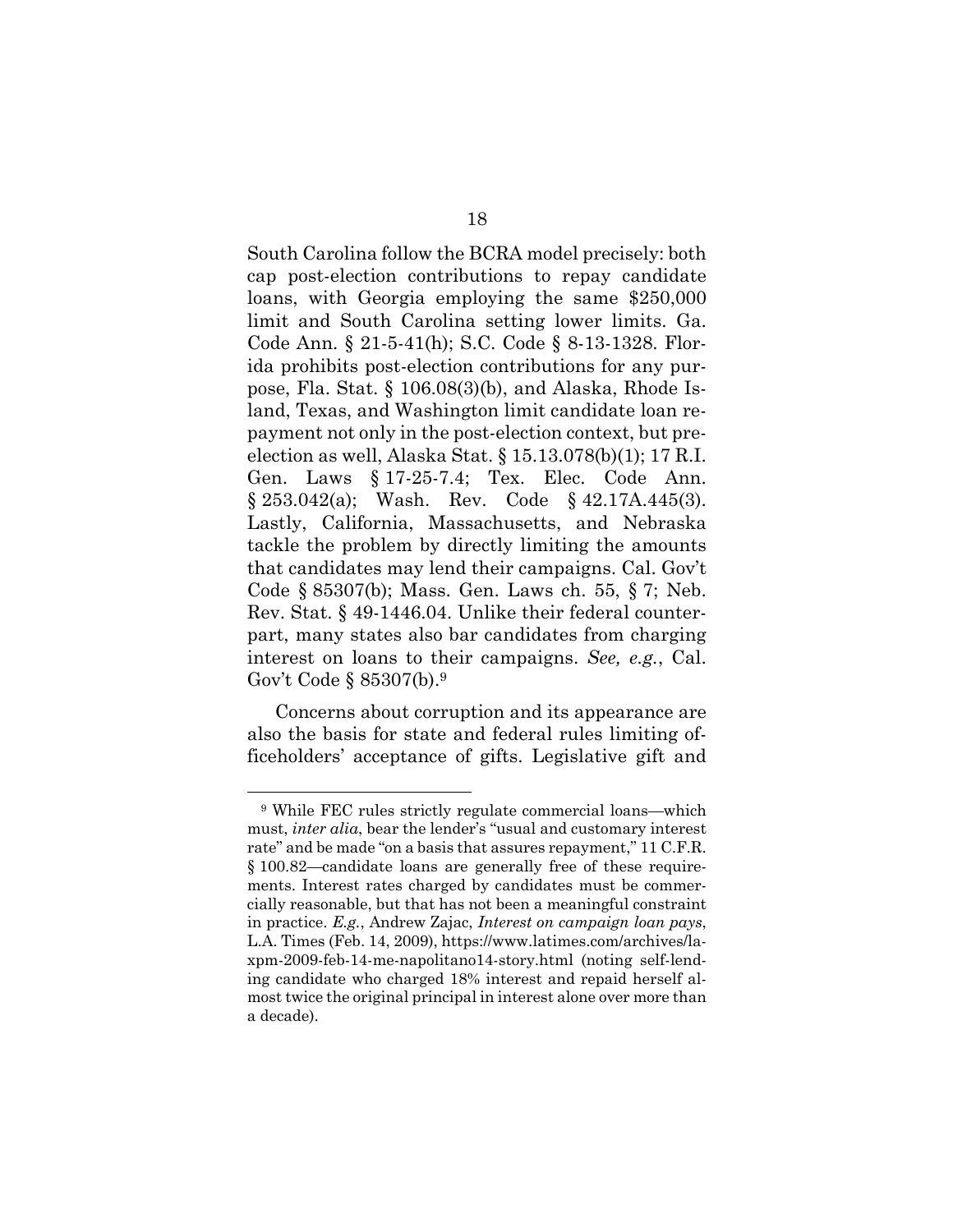South Carolina follow the BCRA model precisely: both cap post-election contributions to repay candidate loans, with Georgia employing the same \$250,000 limit and South Carolina setting lower limits. Ga. Code Ann. § 21-5-41(h); S.C. Code § 8-13-1328. Florida prohibits post-election contributions for any purpose, Fla. Stat. § 106.08(3)(b), and Alaska, Rhode Island, Texas, and Washington limit candidate loan repayment not only in the post-election context, but preelection as well, Alaska Stat. § 15.13.078(b)(1); 17 R.I. Gen. Laws § 17-25-7.4; Tex. Elec. Code Ann.  $§ 253.042(a);$  Wash. Rev. Code  $§ 42.17A.445(3).$ Lastly, California, Massachusetts, and Nebraska tackle the problem by directly limiting the amounts that candidates may lend their campaigns. Cal. Gov't Code § 85307(b); Mass. Gen. Laws ch. 55, § 7; Neb. Rev. Stat. § 49-1446.04. Unlike their federal counterpart, many states also bar candidates from charging interest on loans to their campaigns. *See, e.g.*, Cal. Gov't Code § 85307(b).<sup>9</sup>

Concerns about corruption and its appearance are also the basis for state and federal rules limiting officeholders' acceptance of gifts. Legislative gift and

<sup>9</sup> While FEC rules strictly regulate commercial loans—which must, *inter alia*, bear the lender's "usual and customary interest rate" and be made "on a basis that assures repayment," 11 C.F.R. § 100.82—candidate loans are generally free of these requirements. Interest rates charged by candidates must be commercially reasonable, but that has not been a meaningful constraint in practice. *E.g.*, Andrew Zajac, *Interest on campaign loan pays*, L.A. Times (Feb. 14, 2009), https://www.latimes.com/archives/laxpm-2009-feb-14-me-napolitano14-story.html (noting self-lending candidate who charged 18% interest and repaid herself almost twice the original principal in interest alone over more than a decade).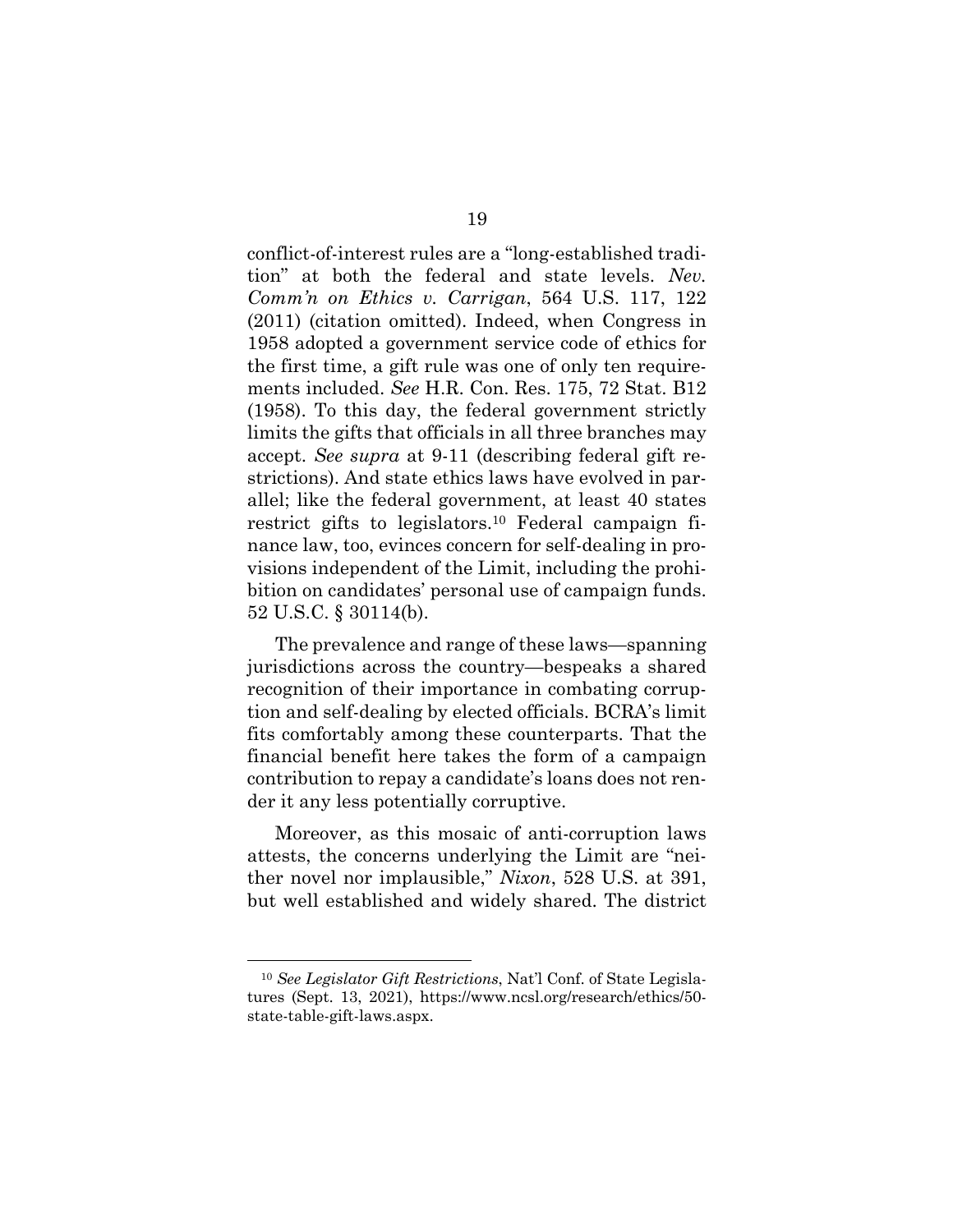conflict-of-interest rules are a "long-established tradition" at both the federal and state levels. *Nev. Comm'n on Ethics v. Carrigan*, 564 U.S. 117, 122 (2011) (citation omitted). Indeed, when Congress in 1958 adopted a government service code of ethics for the first time, a gift rule was one of only ten requirements included. *See* H.R. Con. Res. 175, 72 Stat. B12 (1958). To this day, the federal government strictly limits the gifts that officials in all three branches may accept. *See supra* at 9-11 (describing federal gift restrictions). And state ethics laws have evolved in parallel; like the federal government, at least 40 states restrict gifts to legislators.<sup>10</sup> Federal campaign finance law, too, evinces concern for self-dealing in provisions independent of the Limit, including the prohibition on candidates' personal use of campaign funds. 52 U.S.C. § 30114(b).

The prevalence and range of these laws—spanning jurisdictions across the country—bespeaks a shared recognition of their importance in combating corruption and self-dealing by elected officials. BCRA's limit fits comfortably among these counterparts. That the financial benefit here takes the form of a campaign contribution to repay a candidate's loans does not render it any less potentially corruptive.

Moreover, as this mosaic of anti-corruption laws attests, the concerns underlying the Limit are "neither novel nor implausible," *Nixon*, 528 U.S. at 391, but well established and widely shared. The district

<sup>10</sup> *See Legislator Gift Restrictions*, Nat'l Conf. of State Legislatures (Sept. 13, 2021), https://www.ncsl.org/research/ethics/50 state-table-gift-laws.aspx.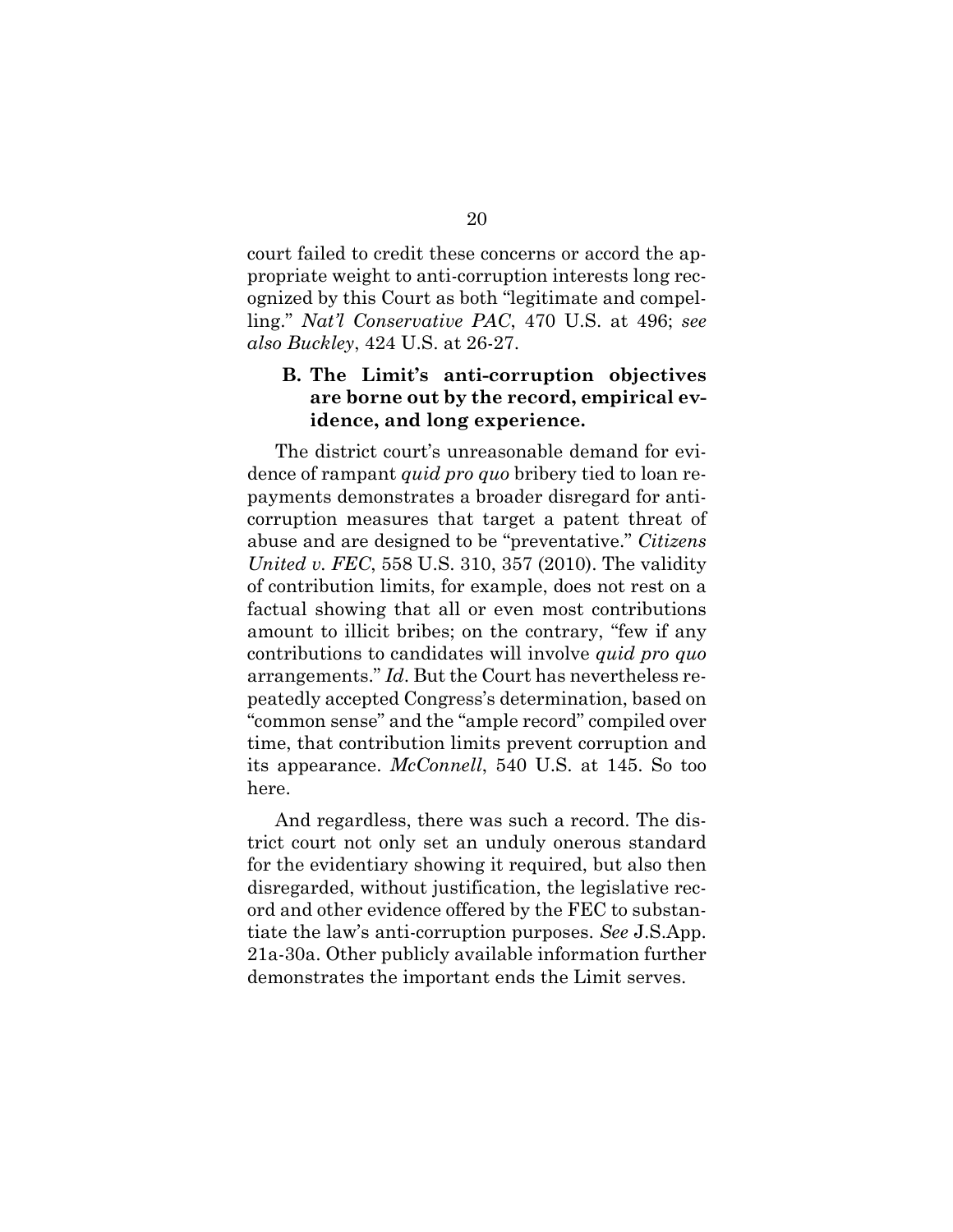court failed to credit these concerns or accord the appropriate weight to anti-corruption interests long recognized by this Court as both "legitimate and compelling." *Nat'l Conservative PAC*, 470 U.S. at 496; *see also Buckley*, 424 U.S. at 26-27.

### **B. The Limit's anti-corruption objectives are borne out by the record, empirical evidence, and long experience.**

The district court's unreasonable demand for evidence of rampant *quid pro quo* bribery tied to loan repayments demonstrates a broader disregard for anticorruption measures that target a patent threat of abuse and are designed to be "preventative." *Citizens United v. FEC*, 558 U.S. 310, 357 (2010). The validity of contribution limits, for example, does not rest on a factual showing that all or even most contributions amount to illicit bribes; on the contrary, "few if any contributions to candidates will involve *quid pro quo*  arrangements." *Id*. But the Court has nevertheless repeatedly accepted Congress's determination, based on "common sense" and the "ample record" compiled over time, that contribution limits prevent corruption and its appearance. *McConnell*, 540 U.S. at 145. So too here.

And regardless, there was such a record. The district court not only set an unduly onerous standard for the evidentiary showing it required, but also then disregarded, without justification, the legislative record and other evidence offered by the FEC to substantiate the law's anti-corruption purposes. *See* J.S.App. 21a-30a. Other publicly available information further demonstrates the important ends the Limit serves.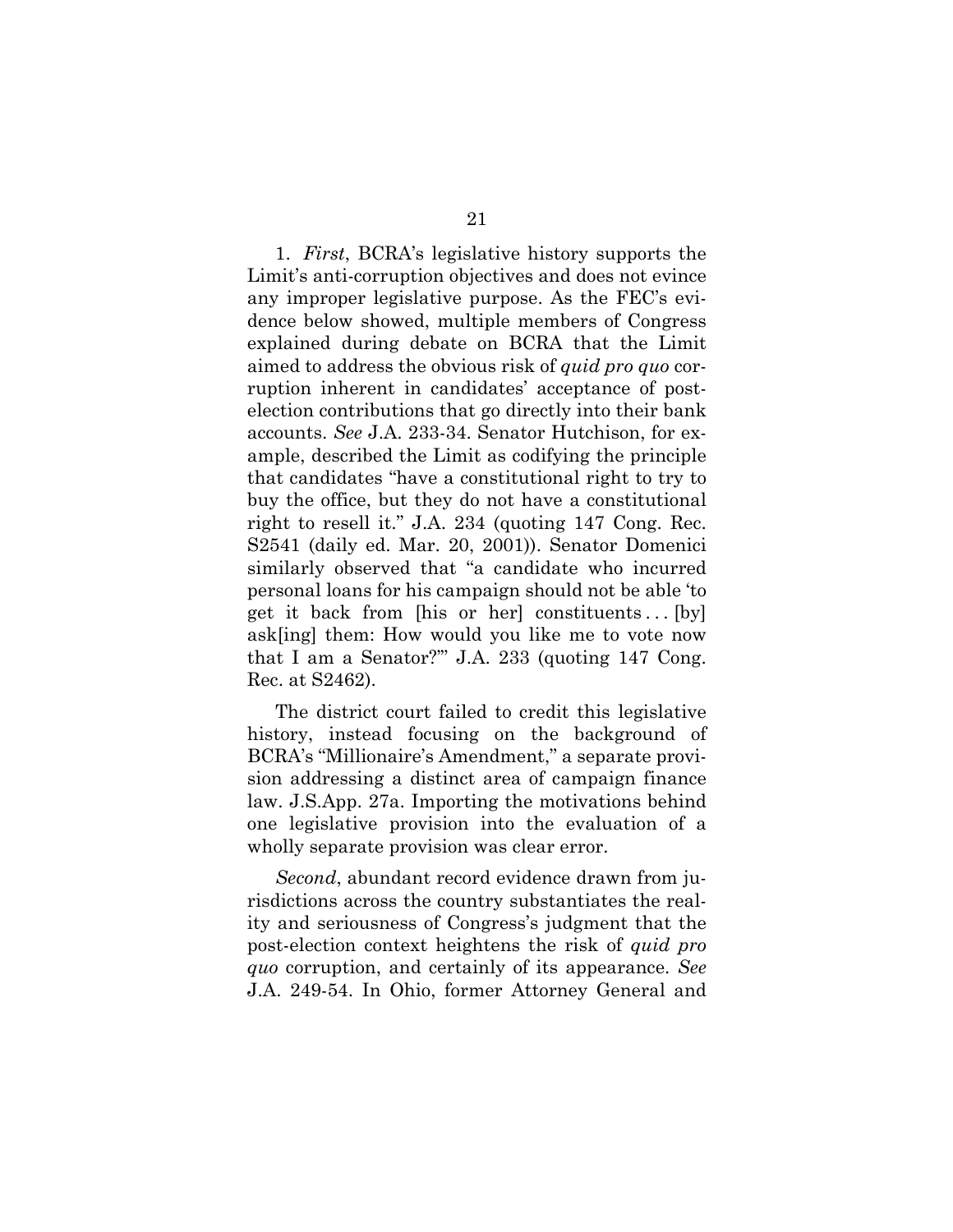1. *First*, BCRA's legislative history supports the Limit's anti-corruption objectives and does not evince any improper legislative purpose. As the FEC's evidence below showed, multiple members of Congress explained during debate on BCRA that the Limit aimed to address the obvious risk of *quid pro quo* corruption inherent in candidates' acceptance of postelection contributions that go directly into their bank accounts. *See* J.A. 233-34. Senator Hutchison, for example, described the Limit as codifying the principle that candidates "have a constitutional right to try to buy the office, but they do not have a constitutional right to resell it." J.A. 234 (quoting 147 Cong. Rec. S2541 (daily ed. Mar. 20, 2001)). Senator Domenici similarly observed that "a candidate who incurred personal loans for his campaign should not be able 'to get it back from [his or her] constituents... [by] ask[ing] them: How would you like me to vote now that I am a Senator?'" J.A. 233 (quoting 147 Cong. Rec. at S2462).

The district court failed to credit this legislative history, instead focusing on the background of BCRA's "Millionaire's Amendment," a separate provision addressing a distinct area of campaign finance law. J.S.App. 27a. Importing the motivations behind one legislative provision into the evaluation of a wholly separate provision was clear error.

*Second*, abundant record evidence drawn from jurisdictions across the country substantiates the reality and seriousness of Congress's judgment that the post-election context heightens the risk of *quid pro quo* corruption, and certainly of its appearance. *See*  J.A. 249-54. In Ohio, former Attorney General and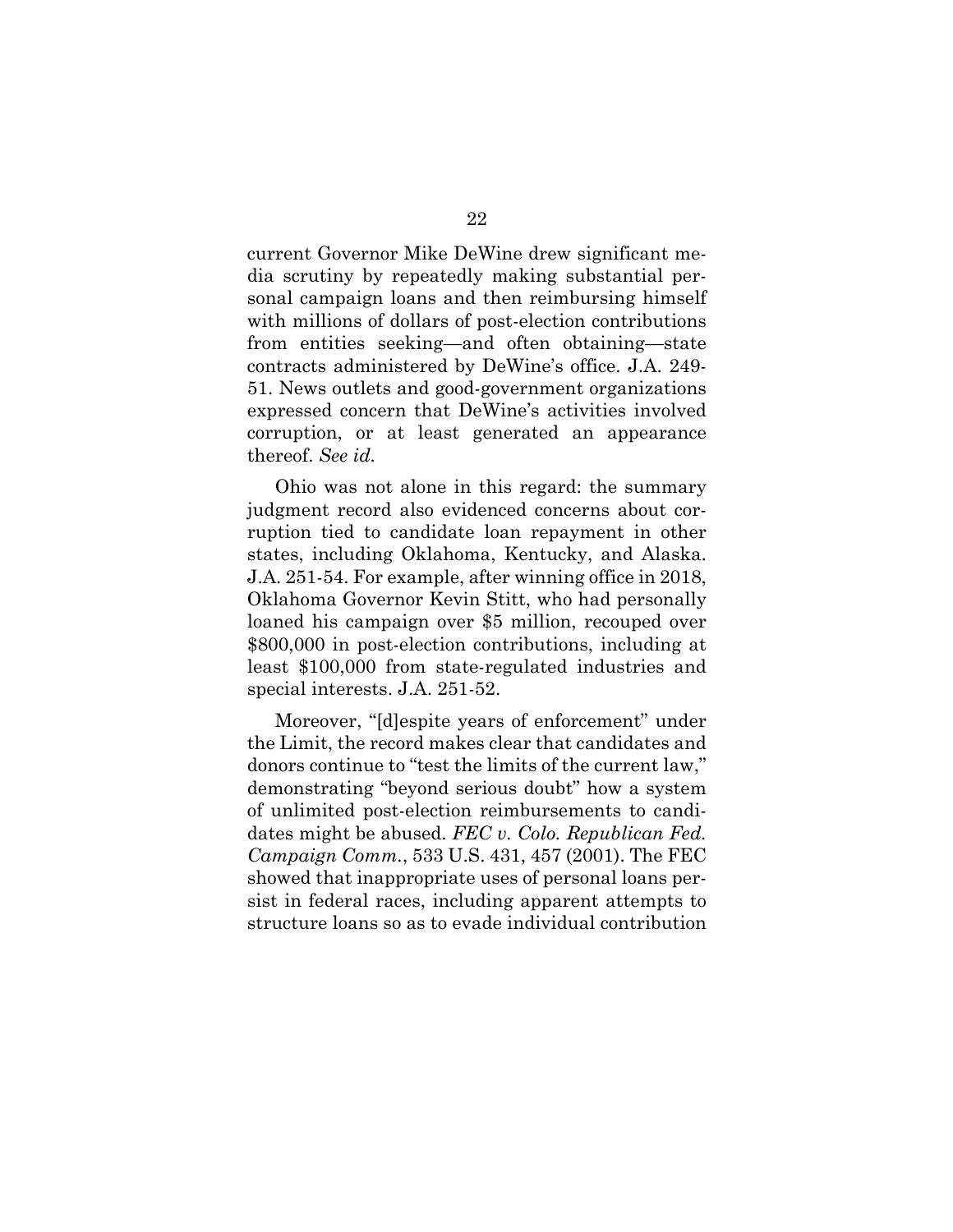current Governor Mike DeWine drew significant media scrutiny by repeatedly making substantial personal campaign loans and then reimbursing himself with millions of dollars of post-election contributions from entities seeking—and often obtaining—state contracts administered by DeWine's office. J.A. 249- 51. News outlets and good-government organizations expressed concern that DeWine's activities involved corruption, or at least generated an appearance thereof. *See id.*

Ohio was not alone in this regard: the summary judgment record also evidenced concerns about corruption tied to candidate loan repayment in other states, including Oklahoma, Kentucky, and Alaska. J.A. 251-54. For example, after winning office in 2018, Oklahoma Governor Kevin Stitt, who had personally loaned his campaign over \$5 million, recouped over \$800,000 in post-election contributions, including at least \$100,000 from state-regulated industries and special interests. J.A. 251-52.

Moreover, "[d]espite years of enforcement" under the Limit, the record makes clear that candidates and donors continue to "test the limits of the current law," demonstrating "beyond serious doubt" how a system of unlimited post-election reimbursements to candidates might be abused. *FEC v. Colo. Republican Fed. Campaign Comm.*, 533 U.S. 431, 457 (2001). The FEC showed that inappropriate uses of personal loans persist in federal races, including apparent attempts to structure loans so as to evade individual contribution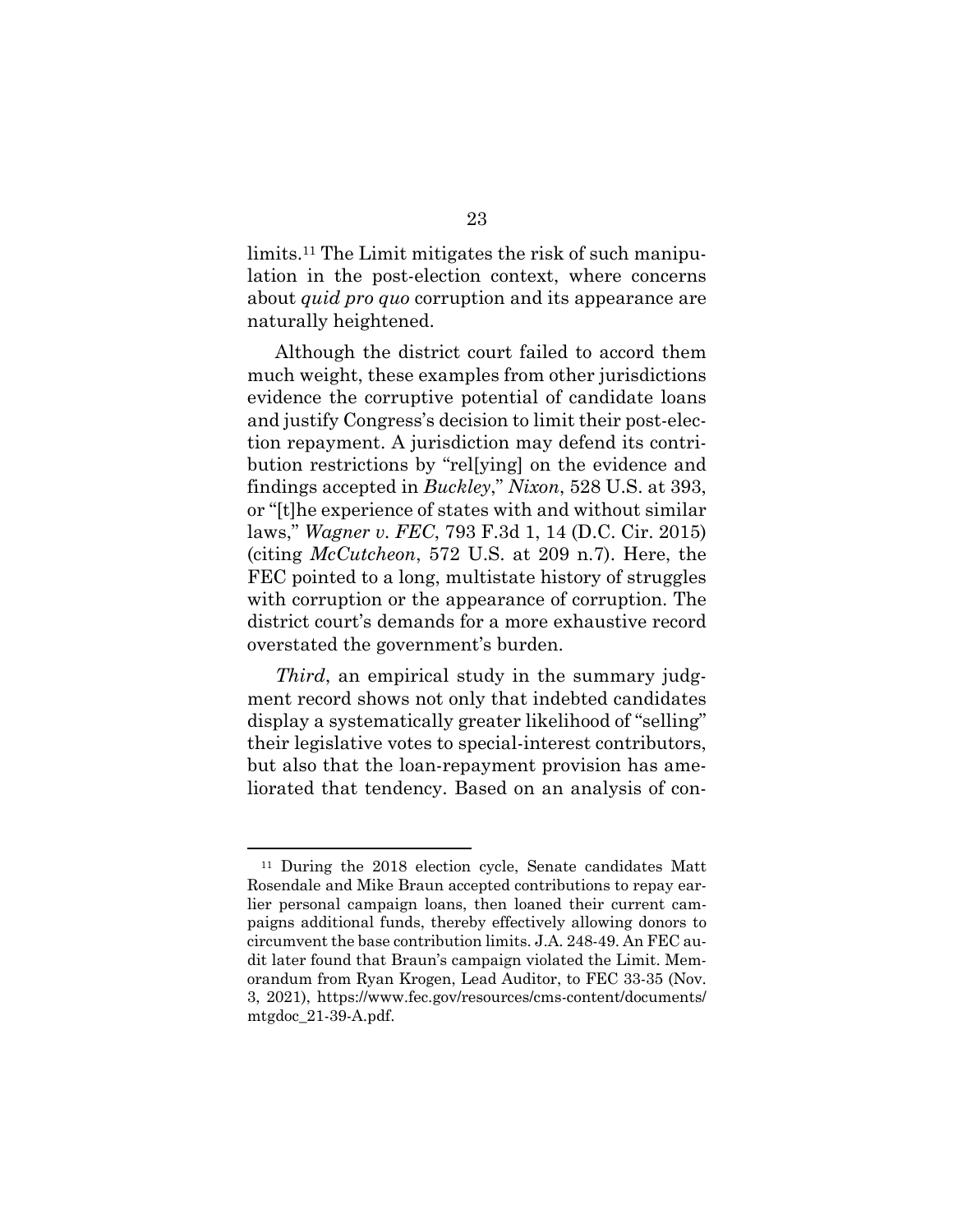limits.<sup>11</sup> The Limit mitigates the risk of such manipulation in the post-election context, where concerns about *quid pro quo* corruption and its appearance are naturally heightened.

Although the district court failed to accord them much weight, these examples from other jurisdictions evidence the corruptive potential of candidate loans and justify Congress's decision to limit their post-election repayment. A jurisdiction may defend its contribution restrictions by "rel[ying] on the evidence and findings accepted in *Buckley*," *Nixon*, 528 U.S. at 393, or "[t]he experience of states with and without similar laws," *Wagner v. FEC*, 793 F.3d 1, 14 (D.C. Cir. 2015) (citing *McCutcheon*, 572 U.S. at 209 n.7). Here, the FEC pointed to a long, multistate history of struggles with corruption or the appearance of corruption. The district court's demands for a more exhaustive record overstated the government's burden.

*Third*, an empirical study in the summary judgment record shows not only that indebted candidates display a systematically greater likelihood of "selling" their legislative votes to special-interest contributors, but also that the loan-repayment provision has ameliorated that tendency. Based on an analysis of con-

<sup>11</sup> During the 2018 election cycle, Senate candidates Matt Rosendale and Mike Braun accepted contributions to repay earlier personal campaign loans, then loaned their current campaigns additional funds, thereby effectively allowing donors to circumvent the base contribution limits. J.A. 248-49. An FEC audit later found that Braun's campaign violated the Limit. Memorandum from Ryan Krogen, Lead Auditor, to FEC 33-35 (Nov. 3, 2021), https://www.fec.gov/resources/cms-content/documents/ mtgdoc\_21-39-A.pdf.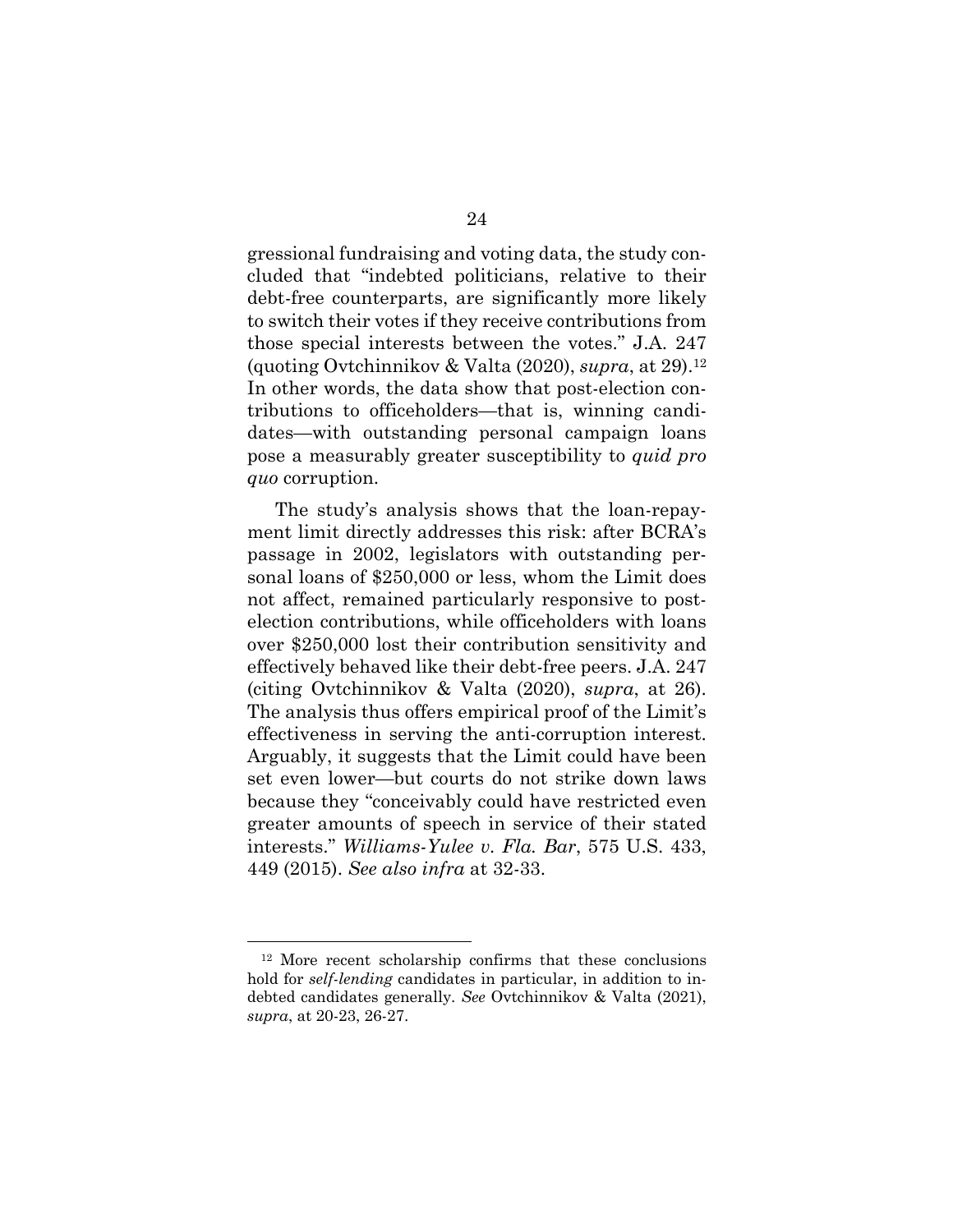gressional fundraising and voting data, the study concluded that "indebted politicians, relative to their debt-free counterparts, are significantly more likely to switch their votes if they receive contributions from those special interests between the votes." J.A. 247 (quoting Ovtchinnikov & Valta (2020), *supra*, at 29).<sup>12</sup> In other words, the data show that post-election contributions to officeholders—that is, winning candidates—with outstanding personal campaign loans pose a measurably greater susceptibility to *quid pro quo* corruption.

The study's analysis shows that the loan-repayment limit directly addresses this risk: after BCRA's passage in 2002, legislators with outstanding personal loans of \$250,000 or less, whom the Limit does not affect, remained particularly responsive to postelection contributions, while officeholders with loans over \$250,000 lost their contribution sensitivity and effectively behaved like their debt-free peers. J.A. 247 (citing Ovtchinnikov & Valta (2020), *supra*, at 26). The analysis thus offers empirical proof of the Limit's effectiveness in serving the anti-corruption interest. Arguably, it suggests that the Limit could have been set even lower—but courts do not strike down laws because they "conceivably could have restricted even greater amounts of speech in service of their stated interests." *Williams-Yulee v. Fla. Bar*, 575 U.S. 433, 449 (2015). *See also infra* at 32-33.

<sup>12</sup> More recent scholarship confirms that these conclusions hold for *self-lending* candidates in particular, in addition to indebted candidates generally. *See* Ovtchinnikov & Valta (2021), *supra*, at 20-23, 26-27.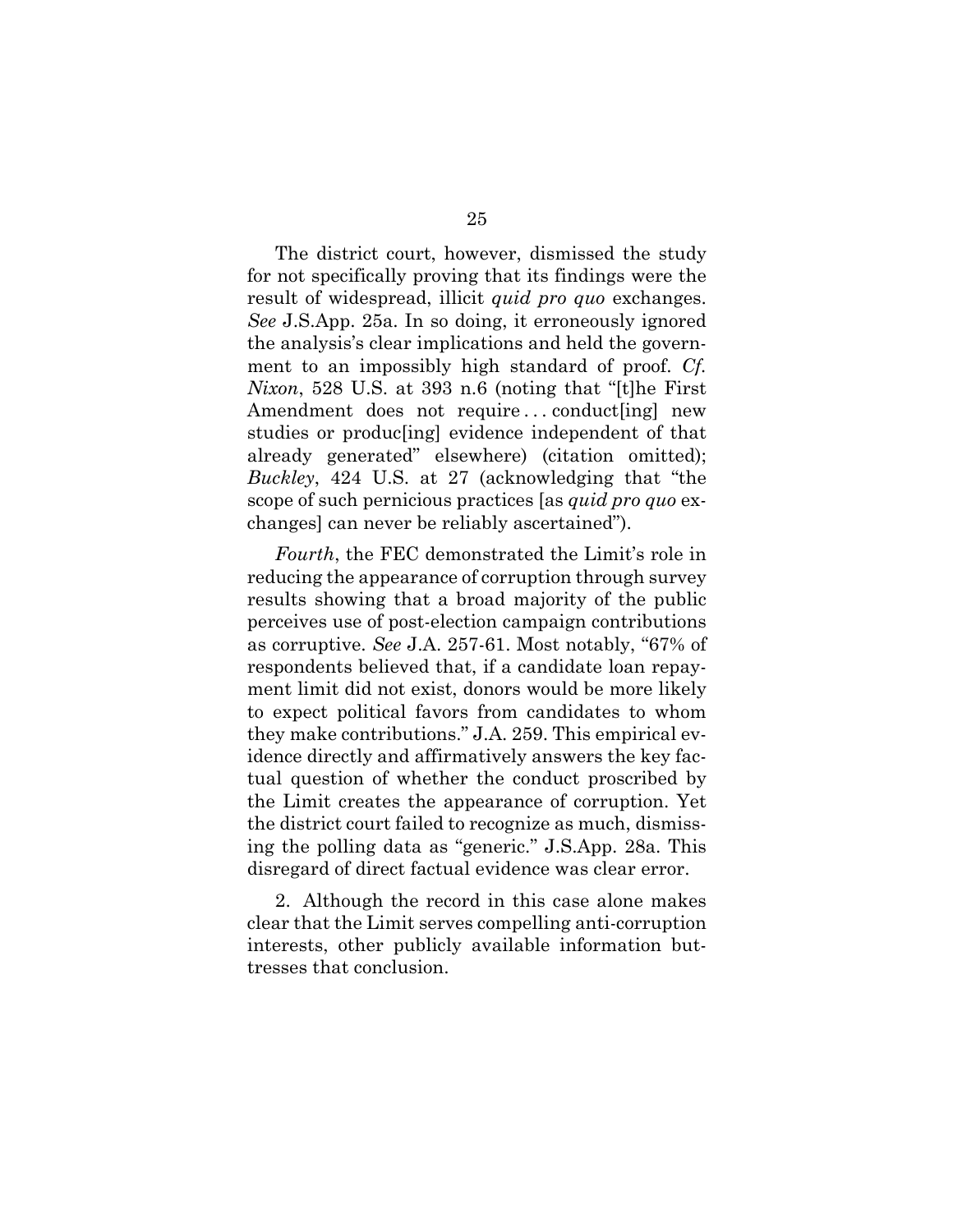The district court, however, dismissed the study for not specifically proving that its findings were the result of widespread, illicit *quid pro quo* exchanges. *See* J.S.App. 25a. In so doing, it erroneously ignored the analysis's clear implications and held the government to an impossibly high standard of proof. *Cf. Nixon*, 528 U.S. at 393 n.6 (noting that "[t]he First Amendment does not require...conduct[ing] new studies or produc[ing] evidence independent of that already generated" elsewhere) (citation omitted); *Buckley*, 424 U.S. at 27 (acknowledging that "the scope of such pernicious practices [as *quid pro quo* exchanges] can never be reliably ascertained").

*Fourth*, the FEC demonstrated the Limit's role in reducing the appearance of corruption through survey results showing that a broad majority of the public perceives use of post-election campaign contributions as corruptive. *See* J.A. 257-61. Most notably, "67% of respondents believed that, if a candidate loan repayment limit did not exist, donors would be more likely to expect political favors from candidates to whom they make contributions." J.A. 259. This empirical evidence directly and affirmatively answers the key factual question of whether the conduct proscribed by the Limit creates the appearance of corruption. Yet the district court failed to recognize as much, dismissing the polling data as "generic." J.S.App. 28a. This disregard of direct factual evidence was clear error.

2. Although the record in this case alone makes clear that the Limit serves compelling anti-corruption interests, other publicly available information buttresses that conclusion.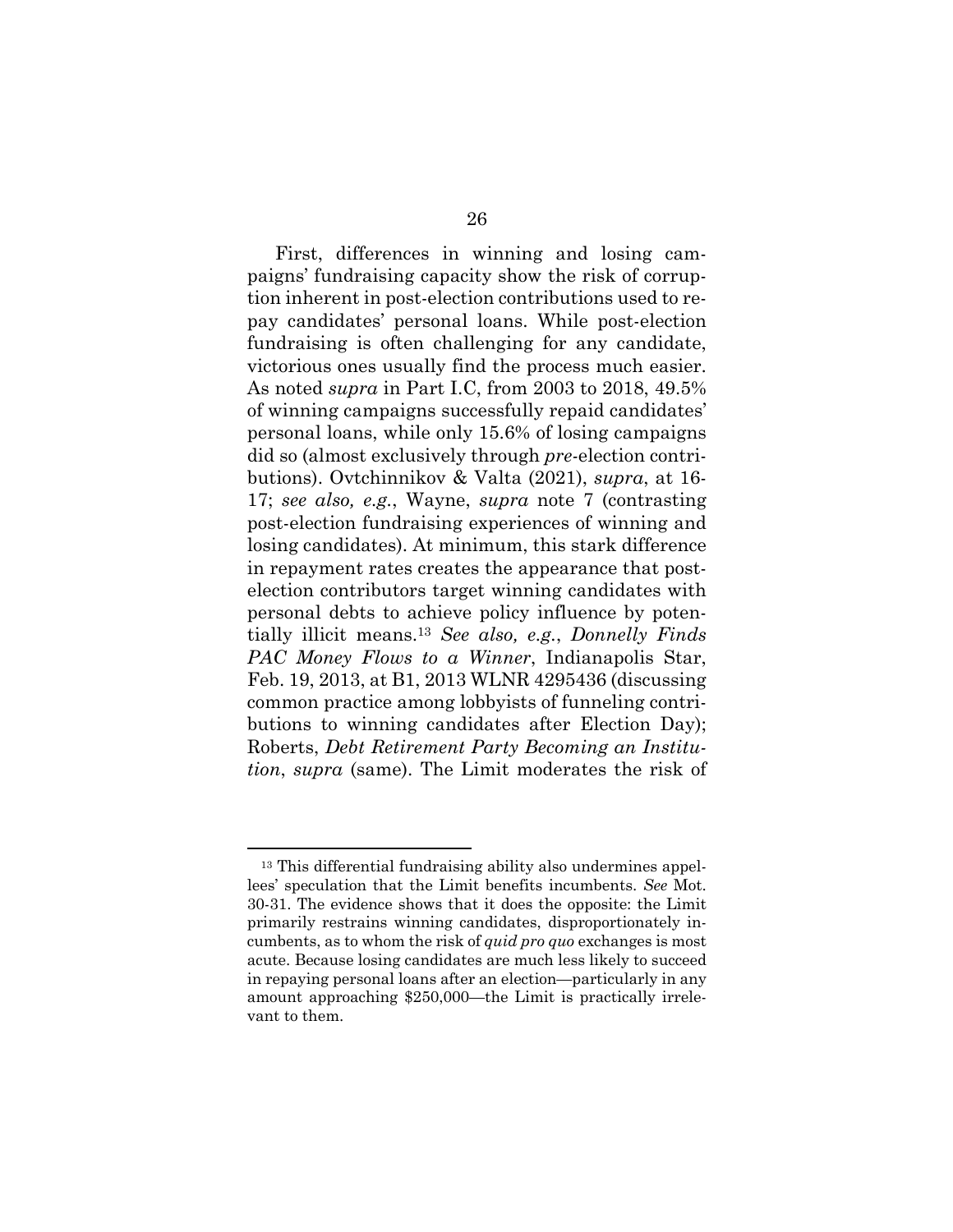First, differences in winning and losing campaigns' fundraising capacity show the risk of corruption inherent in post-election contributions used to repay candidates' personal loans. While post-election fundraising is often challenging for any candidate, victorious ones usually find the process much easier. As noted *supra* in Part I.C, from 2003 to 2018, 49.5% of winning campaigns successfully repaid candidates' personal loans, while only 15.6% of losing campaigns did so (almost exclusively through *pre-*election contributions). Ovtchinnikov & Valta (2021), *supra*, at 16- 17; *see also, e.g.*, Wayne, *supra* note 7 (contrasting post-election fundraising experiences of winning and losing candidates). At minimum, this stark difference in repayment rates creates the appearance that postelection contributors target winning candidates with personal debts to achieve policy influence by potentially illicit means.<sup>13</sup> *See also, e.g.*, *Donnelly Finds PAC Money Flows to a Winner*, Indianapolis Star, Feb. 19, 2013, at B1, 2013 WLNR 4295436 (discussing common practice among lobbyists of funneling contributions to winning candidates after Election Day); Roberts, *Debt Retirement Party Becoming an Institution*, *supra* (same). The Limit moderates the risk of

<sup>13</sup> This differential fundraising ability also undermines appellees' speculation that the Limit benefits incumbents. *See* Mot. 30-31. The evidence shows that it does the opposite: the Limit primarily restrains winning candidates, disproportionately incumbents, as to whom the risk of *quid pro quo* exchanges is most acute. Because losing candidates are much less likely to succeed in repaying personal loans after an election—particularly in any amount approaching \$250,000—the Limit is practically irrelevant to them.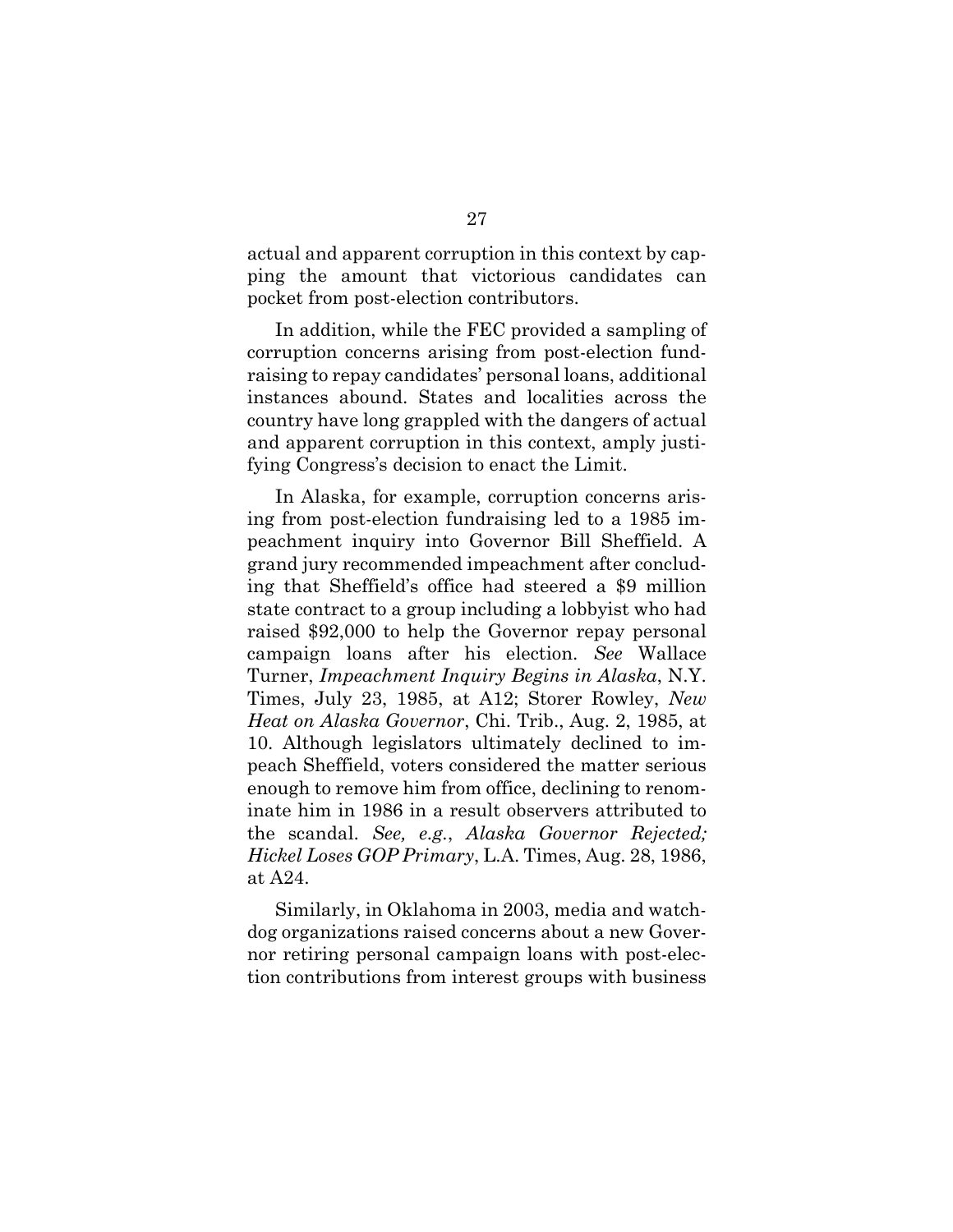actual and apparent corruption in this context by capping the amount that victorious candidates can pocket from post-election contributors.

In addition, while the FEC provided a sampling of corruption concerns arising from post-election fundraising to repay candidates' personal loans, additional instances abound. States and localities across the country have long grappled with the dangers of actual and apparent corruption in this context, amply justifying Congress's decision to enact the Limit.

In Alaska, for example, corruption concerns arising from post-election fundraising led to a 1985 impeachment inquiry into Governor Bill Sheffield. A grand jury recommended impeachment after concluding that Sheffield's office had steered a \$9 million state contract to a group including a lobbyist who had raised \$92,000 to help the Governor repay personal campaign loans after his election. *See* Wallace Turner, *Impeachment Inquiry Begins in Alaska*, N.Y. Times, July 23, 1985, at A12; Storer Rowley, *New Heat on Alaska Governor*, Chi. Trib., Aug. 2, 1985, at 10. Although legislators ultimately declined to impeach Sheffield, voters considered the matter serious enough to remove him from office, declining to renominate him in 1986 in a result observers attributed to the scandal. *See, e.g.*, *Alaska Governor Rejected; Hickel Loses GOP Primary*, L.A. Times, Aug. 28, 1986, at A24.

Similarly, in Oklahoma in 2003, media and watchdog organizations raised concerns about a new Governor retiring personal campaign loans with post-election contributions from interest groups with business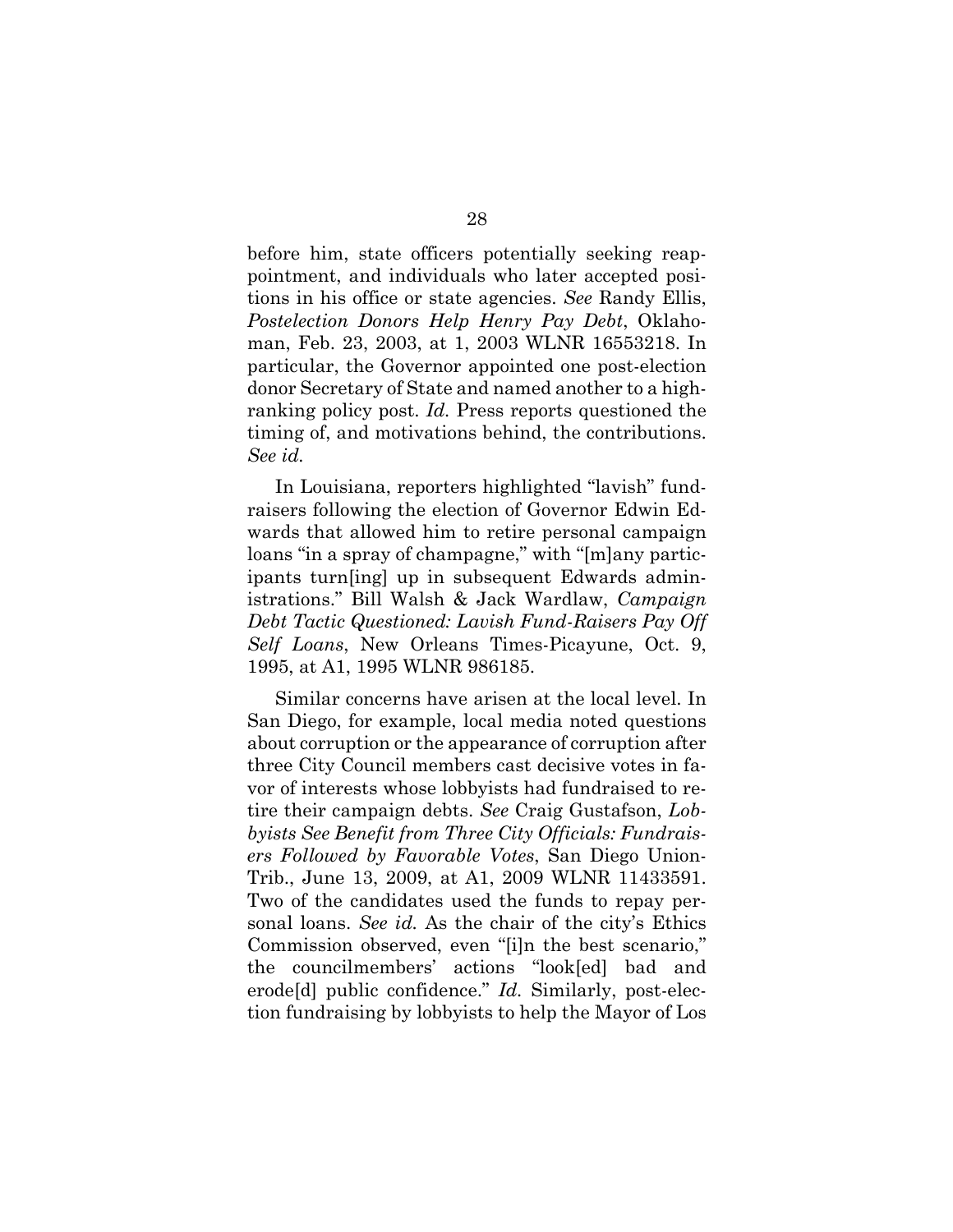before him, state officers potentially seeking reappointment, and individuals who later accepted positions in his office or state agencies. *See* Randy Ellis, *Postelection Donors Help Henry Pay Debt*, Oklahoman, Feb. 23, 2003, at 1, 2003 WLNR 16553218. In particular, the Governor appointed one post-election donor Secretary of State and named another to a highranking policy post. *Id.* Press reports questioned the timing of, and motivations behind, the contributions. *See id.*

In Louisiana, reporters highlighted "lavish" fundraisers following the election of Governor Edwin Edwards that allowed him to retire personal campaign loans "in a spray of champagne," with "[m]any participants turn[ing] up in subsequent Edwards administrations." Bill Walsh & Jack Wardlaw, *Campaign Debt Tactic Questioned: Lavish Fund-Raisers Pay Off Self Loans*, New Orleans Times-Picayune, Oct. 9, 1995, at A1, 1995 WLNR 986185.

Similar concerns have arisen at the local level. In San Diego, for example, local media noted questions about corruption or the appearance of corruption after three City Council members cast decisive votes in favor of interests whose lobbyists had fundraised to retire their campaign debts. *See* Craig Gustafson, *Lobbyists See Benefit from Three City Officials: Fundraisers Followed by Favorable Votes*, San Diego Union-Trib., June 13, 2009, at A1, 2009 WLNR 11433591. Two of the candidates used the funds to repay personal loans. *See id.* As the chair of the city's Ethics Commission observed, even "[i]n the best scenario," the councilmembers' actions "look[ed] bad and erode[d] public confidence." *Id.* Similarly, post-election fundraising by lobbyists to help the Mayor of Los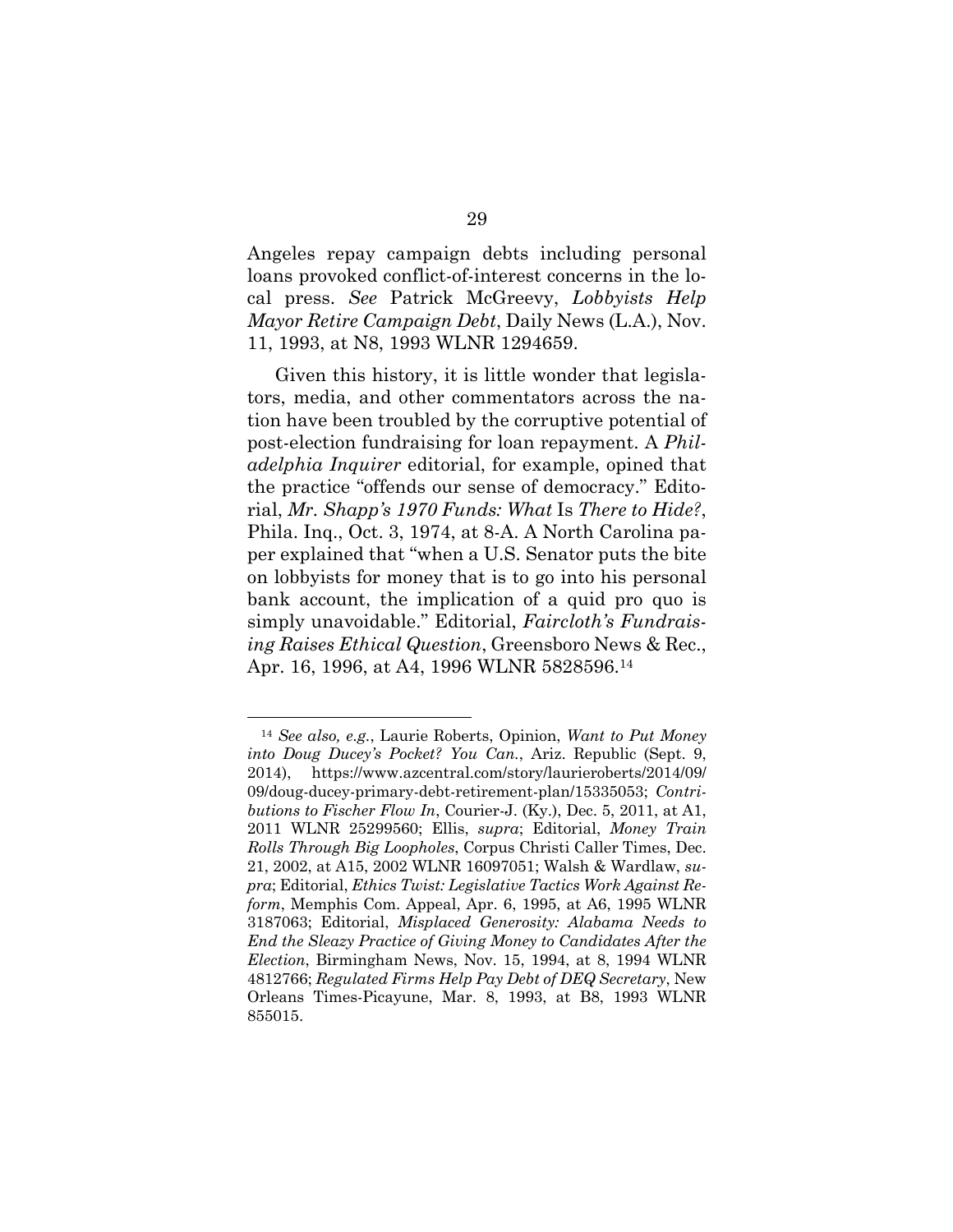Angeles repay campaign debts including personal loans provoked conflict-of-interest concerns in the local press. *See* Patrick McGreevy, *Lobbyists Help Mayor Retire Campaign Debt*, Daily News (L.A.), Nov. 11, 1993, at N8, 1993 WLNR 1294659.

Given this history, it is little wonder that legislators, media, and other commentators across the nation have been troubled by the corruptive potential of post-election fundraising for loan repayment. A *Philadelphia Inquirer* editorial, for example, opined that the practice "offends our sense of democracy." Editorial, *Mr. Shapp's 1970 Funds: What* Is *There to Hide?*, Phila. Inq., Oct. 3, 1974, at 8-A. A North Carolina paper explained that "when a U.S. Senator puts the bite on lobbyists for money that is to go into his personal bank account, the implication of a quid pro quo is simply unavoidable." Editorial, *Faircloth's Fundraising Raises Ethical Question*, Greensboro News & Rec., Apr. 16, 1996, at A4, 1996 WLNR 5828596.<sup>14</sup>

<sup>14</sup> *See also, e.g.*, Laurie Roberts, Opinion, *Want to Put Money into Doug Ducey's Pocket? You Can.*, Ariz. Republic (Sept. 9, 2014), https://www.azcentral.com/story/laurieroberts/2014/09/ 09/doug-ducey-primary-debt-retirement-plan/15335053; *Contributions to Fischer Flow In*, Courier-J. (Ky.), Dec. 5, 2011, at A1, 2011 WLNR 25299560; Ellis, *supra*; Editorial, *Money Train Rolls Through Big Loopholes*, Corpus Christi Caller Times, Dec. 21, 2002, at A15, 2002 WLNR 16097051; Walsh & Wardlaw, *supra*; Editorial, *Ethics Twist: Legislative Tactics Work Against Reform*, Memphis Com. Appeal, Apr. 6, 1995, at A6, 1995 WLNR 3187063; Editorial, *Misplaced Generosity: Alabama Needs to End the Sleazy Practice of Giving Money to Candidates After the Election*, Birmingham News, Nov. 15, 1994, at 8, 1994 WLNR 4812766; *Regulated Firms Help Pay Debt of DEQ Secretary*, New Orleans Times-Picayune, Mar. 8, 1993, at B8, 1993 WLNR 855015.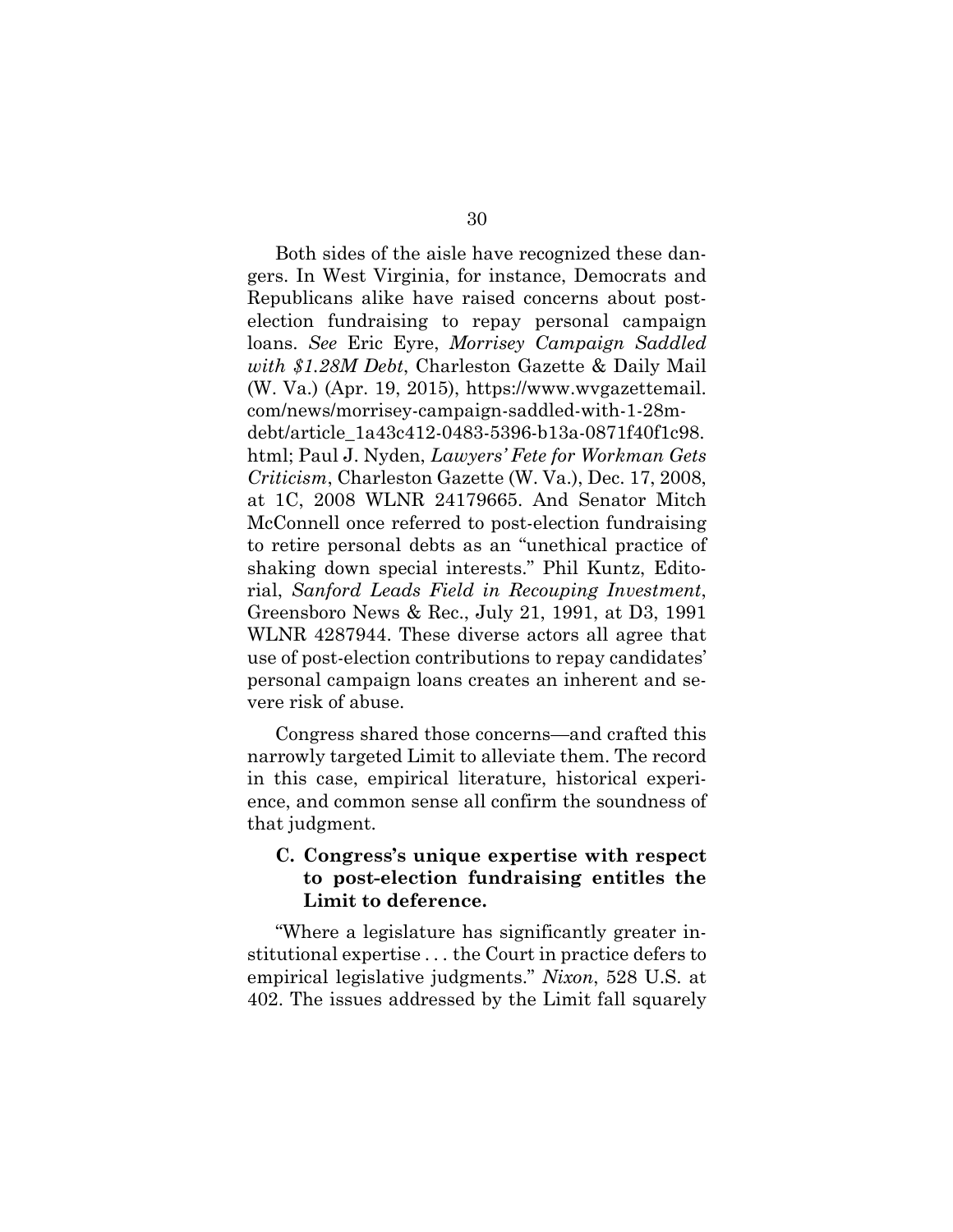Both sides of the aisle have recognized these dangers. In West Virginia, for instance, Democrats and Republicans alike have raised concerns about postelection fundraising to repay personal campaign loans. *See* Eric Eyre, *Morrisey Campaign Saddled with \$1.28M Debt*, Charleston Gazette & Daily Mail (W. Va.) (Apr. 19, 2015), [https://www.wvgazettemail.](https://www.wvgazettemail.com/news/morrisey-campaign-saddled-with-1-28m-debt/article_1a43c412-0483-5396-b13a-0871f40f1c98.html) [com/news/morrisey-campaign-saddled-with-1-28m](https://www.wvgazettemail.com/news/morrisey-campaign-saddled-with-1-28m-debt/article_1a43c412-0483-5396-b13a-0871f40f1c98.html)[debt/article\\_1a43c412-0483-5396-b13a-0871f40f1c98.](https://www.wvgazettemail.com/news/morrisey-campaign-saddled-with-1-28m-debt/article_1a43c412-0483-5396-b13a-0871f40f1c98.html) [html](https://www.wvgazettemail.com/news/morrisey-campaign-saddled-with-1-28m-debt/article_1a43c412-0483-5396-b13a-0871f40f1c98.html); Paul J. Nyden, *Lawyers' Fete for Workman Gets Criticism*, Charleston Gazette (W. Va.), Dec. 17, 2008, at 1C, 2008 WLNR 24179665. And Senator Mitch McConnell once referred to post-election fundraising to retire personal debts as an "unethical practice of shaking down special interests." Phil Kuntz, Editorial, *Sanford Leads Field in Recouping Investment*, Greensboro News & Rec., July 21, 1991, at D3, 1991 WLNR 4287944. These diverse actors all agree that use of post-election contributions to repay candidates' personal campaign loans creates an inherent and severe risk of abuse.

Congress shared those concerns—and crafted this narrowly targeted Limit to alleviate them. The record in this case, empirical literature, historical experience, and common sense all confirm the soundness of that judgment.

### **C. Congress's unique expertise with respect to post-election fundraising entitles the Limit to deference.**

"Where a legislature has significantly greater institutional expertise . . . the Court in practice defers to empirical legislative judgments." *Nixon*, 528 U.S. at 402. The issues addressed by the Limit fall squarely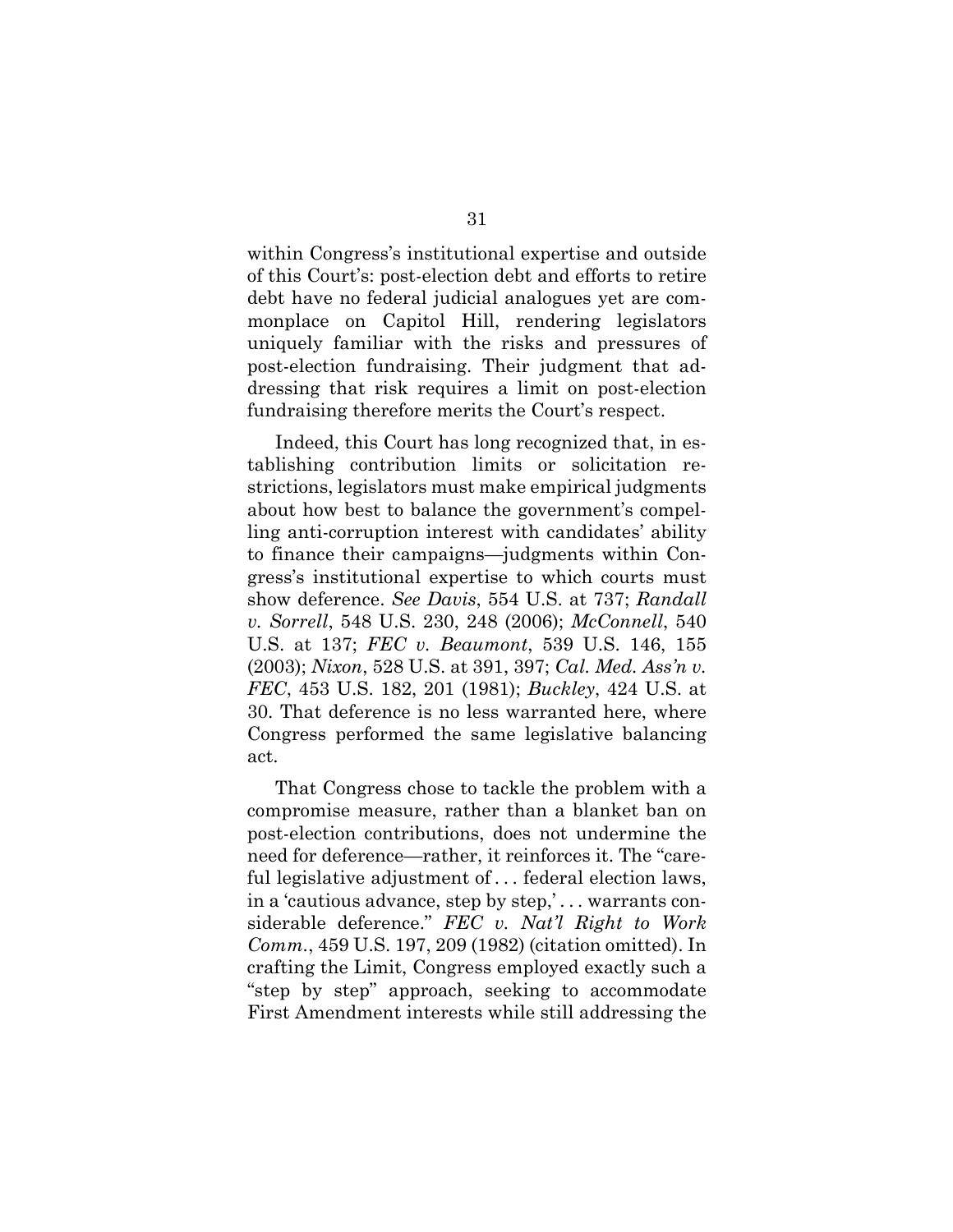within Congress's institutional expertise and outside of this Court's: post-election debt and efforts to retire debt have no federal judicial analogues yet are commonplace on Capitol Hill, rendering legislators uniquely familiar with the risks and pressures of post-election fundraising. Their judgment that addressing that risk requires a limit on post-election fundraising therefore merits the Court's respect.

Indeed, this Court has long recognized that, in establishing contribution limits or solicitation restrictions, legislators must make empirical judgments about how best to balance the government's compelling anti-corruption interest with candidates' ability to finance their campaigns—judgments within Congress's institutional expertise to which courts must show deference. *See Davis*, 554 U.S. at 737; *Randall v. Sorrell*, 548 U.S. 230, 248 (2006); *McConnell*, 540 U.S. at 137; *FEC v. Beaumont*, 539 U.S. 146, 155 (2003); *Nixon*, 528 U.S. at 391, 397; *Cal. Med. Ass'n v. FEC*, 453 U.S. 182, 201 (1981); *Buckley*, 424 U.S. at 30. That deference is no less warranted here, where Congress performed the same legislative balancing act.

That Congress chose to tackle the problem with a compromise measure, rather than a blanket ban on post-election contributions, does not undermine the need for deference—rather, it reinforces it. The "careful legislative adjustment of . . . federal election laws, in a 'cautious advance, step by step,' . . . warrants considerable deference." *FEC v. Nat'l Right to Work Comm.*, 459 U.S. 197, 209 (1982) (citation omitted). In crafting the Limit, Congress employed exactly such a "step by step" approach, seeking to accommodate First Amendment interests while still addressing the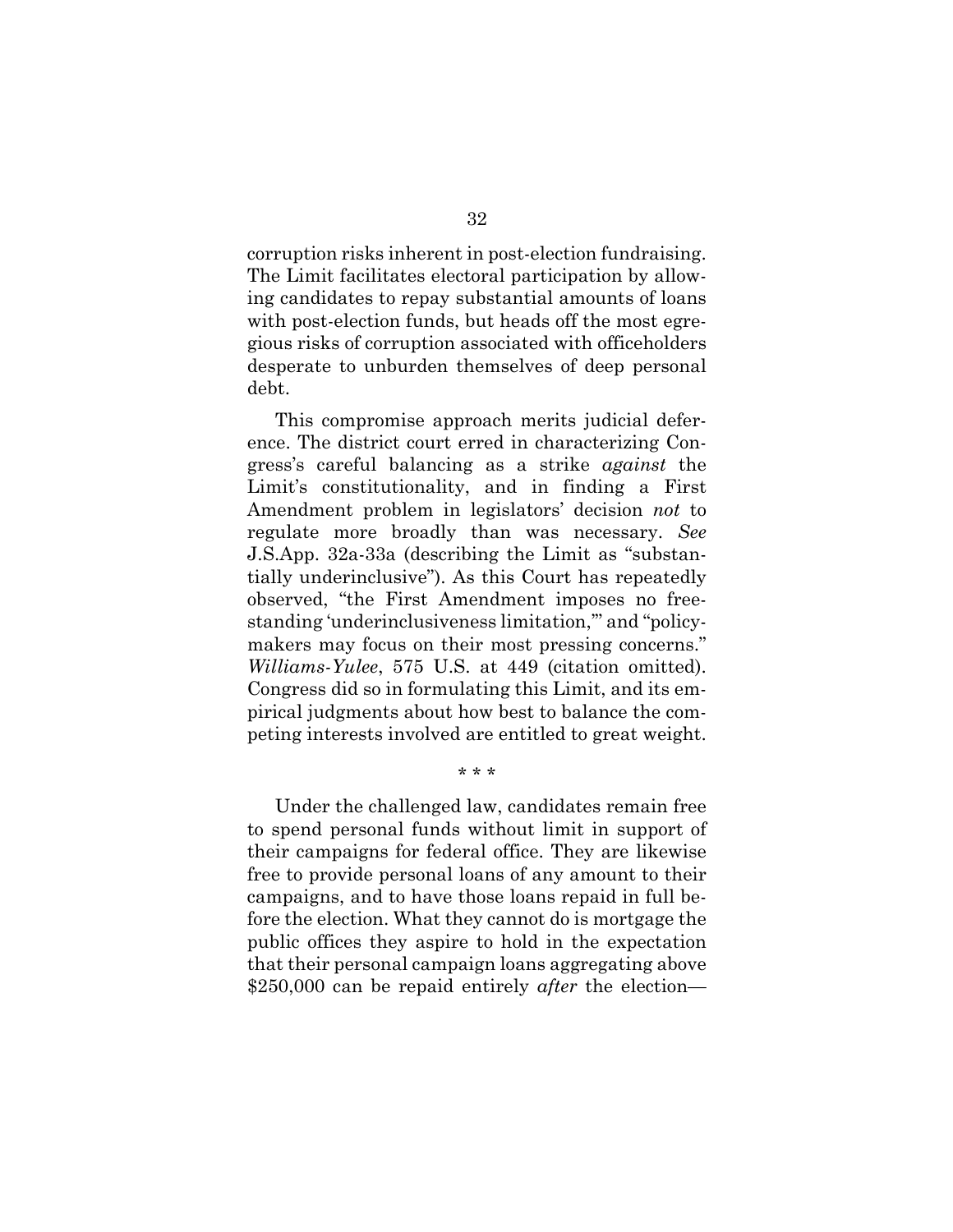corruption risks inherent in post-election fundraising. The Limit facilitates electoral participation by allowing candidates to repay substantial amounts of loans with post-election funds, but heads off the most egregious risks of corruption associated with officeholders desperate to unburden themselves of deep personal debt.

This compromise approach merits judicial deference. The district court erred in characterizing Congress's careful balancing as a strike *against* the Limit's constitutionality, and in finding a First Amendment problem in legislators' decision *not* to regulate more broadly than was necessary. *See* J.S.App. 32a-33a (describing the Limit as "substantially underinclusive"). As this Court has repeatedly observed, "the First Amendment imposes no freestanding 'underinclusiveness limitation,'" and "policymakers may focus on their most pressing concerns." *Williams-Yulee*, 575 U.S. at 449 (citation omitted). Congress did so in formulating this Limit, and its empirical judgments about how best to balance the competing interests involved are entitled to great weight.

Under the challenged law, candidates remain free to spend personal funds without limit in support of their campaigns for federal office. They are likewise free to provide personal loans of any amount to their campaigns, and to have those loans repaid in full before the election. What they cannot do is mortgage the public offices they aspire to hold in the expectation that their personal campaign loans aggregating above \$250,000 can be repaid entirely *after* the election—

\* \* \*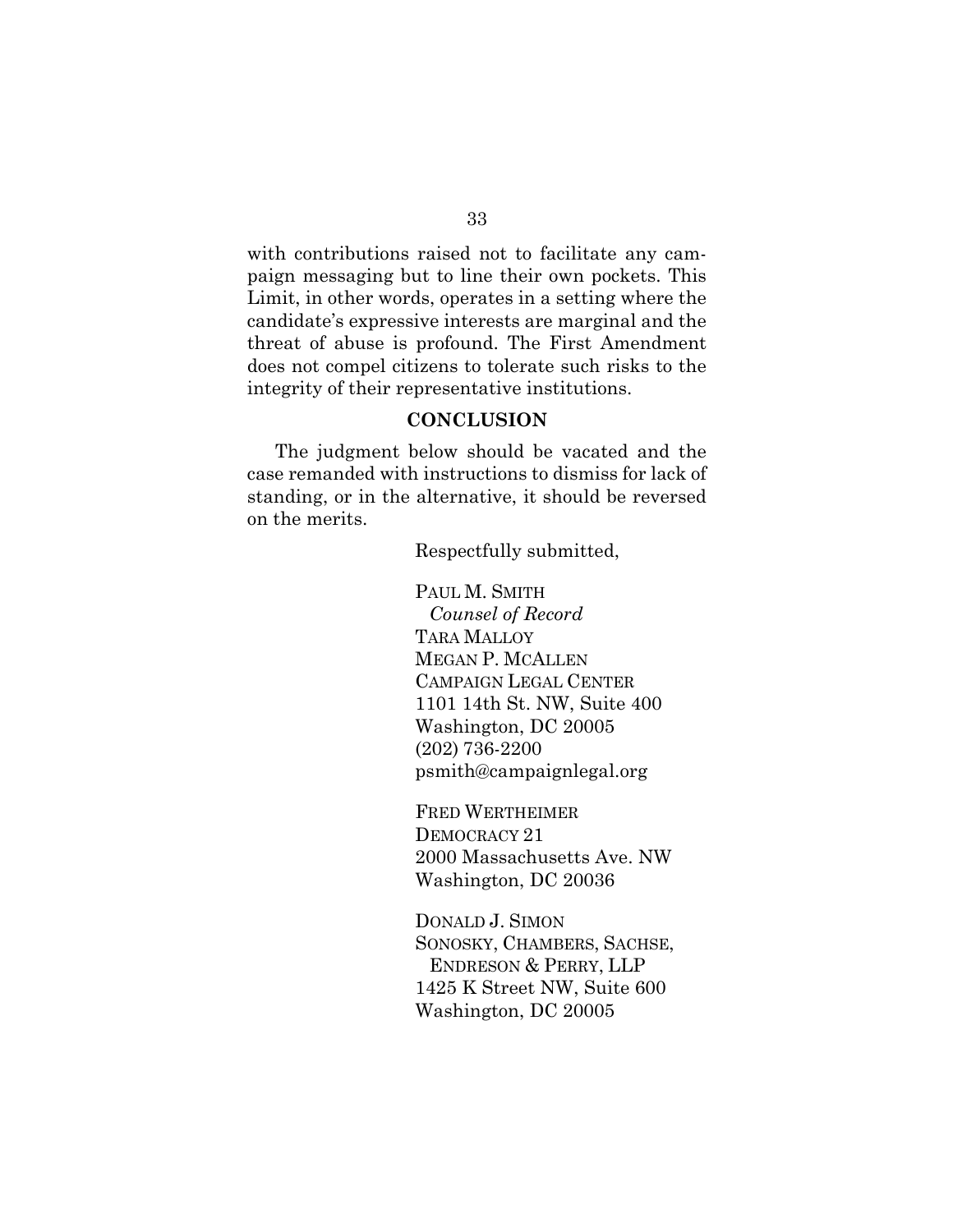with contributions raised not to facilitate any campaign messaging but to line their own pockets. This Limit, in other words, operates in a setting where the candidate's expressive interests are marginal and the threat of abuse is profound. The First Amendment does not compel citizens to tolerate such risks to the integrity of their representative institutions.

#### **CONCLUSION**

The judgment below should be vacated and the case remanded with instructions to dismiss for lack of standing, or in the alternative, it should be reversed on the merits.

Respectfully submitted,

PAUL M. SMITH *Counsel of Record* TARA MALLOY MEGAN P. MCALLEN CAMPAIGN LEGAL CENTER 1101 14th St. NW, Suite 400 Washington, DC 20005 (202) 736-2200 psmith@campaignlegal.org

FRED WERTHEIMER DEMOCRACY 21 2000 Massachusetts Ave. NW Washington, DC 20036

DONALD J. SIMON SONOSKY, CHAMBERS, SACHSE, ENDRESON & PERRY, LLP 1425 K Street NW, Suite 600 Washington, DC 20005